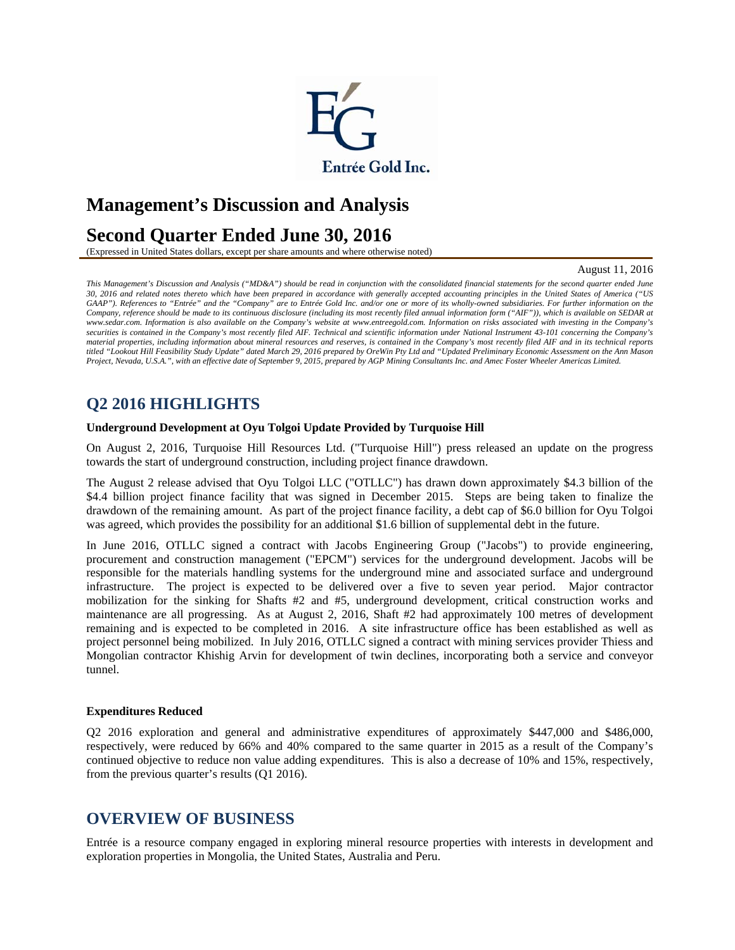

# **Management's Discussion and Analysis**

## **Second Quarter Ended June 30, 2016**

(Expressed in United States dollars, except per share amounts and where otherwise noted)

August 11, 2016

*This Management's Discussion and Analysis ("MD&A") should be read in conjunction with the consolidated financial statements for the second quarter ended June 30, 2016 and related notes thereto which have been prepared in accordance with generally accepted accounting principles in the United States of America ("US GAAP"). References to "Entrée" and the "Company" are to Entrée Gold Inc. and/or one or more of its wholly-owned subsidiaries. For further information on the Company, reference should be made to its continuous disclosure (including its most recently filed annual information form ("AIF")), which is available on SEDAR at*  www.sedar.com. Information is also available on the Company's website at www.entreegold.com. Information on risks associated with investing in the Company's securities is contained in the Company's most recently filed AIF. Technical and scientific information under National Instrument 43-101 concerning the Company's *material properties, including information about mineral resources and reserves, is contained in the Company's most recently filed AIF and in its technical reports titled "Lookout Hill Feasibility Study Update" dated March 29, 2016 prepared by OreWin Pty Ltd and "Updated Preliminary Economic Assessment on the Ann Mason Project, Nevada, U.S.A.", with an effective date of September 9, 2015, prepared by AGP Mining Consultants Inc. and Amec Foster Wheeler Americas Limited.* 

### **Q2 2016 HIGHLIGHTS**

#### **Underground Development at Oyu Tolgoi Update Provided by Turquoise Hill**

On August 2, 2016, Turquoise Hill Resources Ltd. ("Turquoise Hill") press released an update on the progress towards the start of underground construction, including project finance drawdown.

The August 2 release advised that Oyu Tolgoi LLC ("OTLLC") has drawn down approximately \$4.3 billion of the \$4.4 billion project finance facility that was signed in December 2015. Steps are being taken to finalize the drawdown of the remaining amount. As part of the project finance facility, a debt cap of \$6.0 billion for Oyu Tolgoi was agreed, which provides the possibility for an additional \$1.6 billion of supplemental debt in the future.

In June 2016, OTLLC signed a contract with Jacobs Engineering Group ("Jacobs") to provide engineering, procurement and construction management ("EPCM") services for the underground development. Jacobs will be responsible for the materials handling systems for the underground mine and associated surface and underground infrastructure. The project is expected to be delivered over a five to seven year period. Major contractor mobilization for the sinking for Shafts #2 and #5, underground development, critical construction works and maintenance are all progressing. As at August 2, 2016, Shaft #2 had approximately 100 metres of development remaining and is expected to be completed in 2016. A site infrastructure office has been established as well as project personnel being mobilized. In July 2016, OTLLC signed a contract with mining services provider Thiess and Mongolian contractor Khishig Arvin for development of twin declines, incorporating both a service and conveyor tunnel.

#### **Expenditures Reduced**

Q2 2016 exploration and general and administrative expenditures of approximately \$447,000 and \$486,000, respectively, were reduced by 66% and 40% compared to the same quarter in 2015 as a result of the Company's continued objective to reduce non value adding expenditures. This is also a decrease of 10% and 15%, respectively, from the previous quarter's results (Q1 2016).

### **OVERVIEW OF BUSINESS**

Entrée is a resource company engaged in exploring mineral resource properties with interests in development and exploration properties in Mongolia, the United States, Australia and Peru.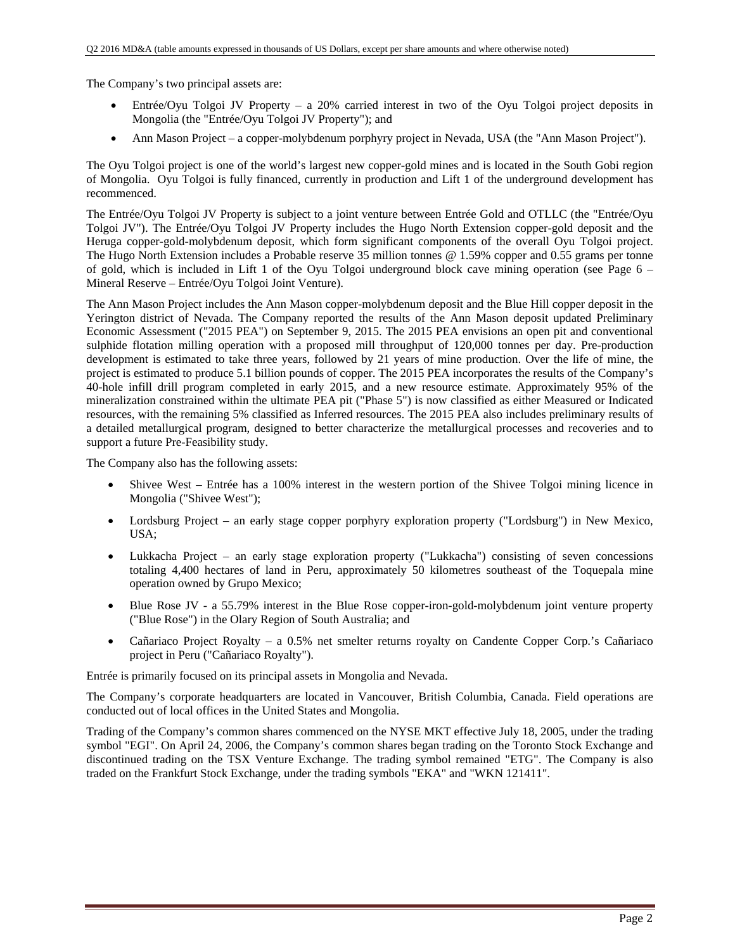The Company's two principal assets are:

- Entrée/Oyu Tolgoi JV Property a 20% carried interest in two of the Oyu Tolgoi project deposits in Mongolia (the "Entrée/Oyu Tolgoi JV Property"); and
- Ann Mason Project a copper-molybdenum porphyry project in Nevada, USA (the "Ann Mason Project").

The Oyu Tolgoi project is one of the world's largest new copper-gold mines and is located in the South Gobi region of Mongolia. Oyu Tolgoi is fully financed, currently in production and Lift 1 of the underground development has recommenced.

The Entrée/Oyu Tolgoi JV Property is subject to a joint venture between Entrée Gold and OTLLC (the "Entrée/Oyu Tolgoi JV"). The Entrée/Oyu Tolgoi JV Property includes the Hugo North Extension copper-gold deposit and the Heruga copper-gold-molybdenum deposit, which form significant components of the overall Oyu Tolgoi project. The Hugo North Extension includes a Probable reserve 35 million tonnes @ 1.59% copper and 0.55 grams per tonne of gold, which is included in Lift 1 of the Oyu Tolgoi underground block cave mining operation (see Page 6 – Mineral Reserve – Entrée/Oyu Tolgoi Joint Venture).

The Ann Mason Project includes the Ann Mason copper-molybdenum deposit and the Blue Hill copper deposit in the Yerington district of Nevada. The Company reported the results of the Ann Mason deposit updated Preliminary Economic Assessment ("2015 PEA") on September 9, 2015. The 2015 PEA envisions an open pit and conventional sulphide flotation milling operation with a proposed mill throughput of 120,000 tonnes per day. Pre-production development is estimated to take three years, followed by 21 years of mine production. Over the life of mine, the project is estimated to produce 5.1 billion pounds of copper. The 2015 PEA incorporates the results of the Company's 40-hole infill drill program completed in early 2015, and a new resource estimate. Approximately 95% of the mineralization constrained within the ultimate PEA pit ("Phase 5") is now classified as either Measured or Indicated resources, with the remaining 5% classified as Inferred resources. The 2015 PEA also includes preliminary results of a detailed metallurgical program, designed to better characterize the metallurgical processes and recoveries and to support a future Pre-Feasibility study.

The Company also has the following assets:

- Shivee West Entrée has a 100% interest in the western portion of the Shivee Tolgoi mining licence in Mongolia ("Shivee West");
- Lordsburg Project an early stage copper porphyry exploration property ("Lordsburg") in New Mexico, USA;
- Lukkacha Project an early stage exploration property ("Lukkacha") consisting of seven concessions totaling 4,400 hectares of land in Peru, approximately 50 kilometres southeast of the Toquepala mine operation owned by Grupo Mexico;
- Blue Rose JV a 55.79% interest in the Blue Rose copper-iron-gold-molybdenum joint venture property ("Blue Rose") in the Olary Region of South Australia; and
- Cañariaco Project Royalty a 0.5% net smelter returns royalty on Candente Copper Corp.'s Cañariaco project in Peru ("Cañariaco Royalty").

Entrée is primarily focused on its principal assets in Mongolia and Nevada.

The Company's corporate headquarters are located in Vancouver, British Columbia, Canada. Field operations are conducted out of local offices in the United States and Mongolia.

Trading of the Company's common shares commenced on the NYSE MKT effective July 18, 2005, under the trading symbol "EGI". On April 24, 2006, the Company's common shares began trading on the Toronto Stock Exchange and discontinued trading on the TSX Venture Exchange. The trading symbol remained "ETG". The Company is also traded on the Frankfurt Stock Exchange, under the trading symbols "EKA" and "WKN 121411".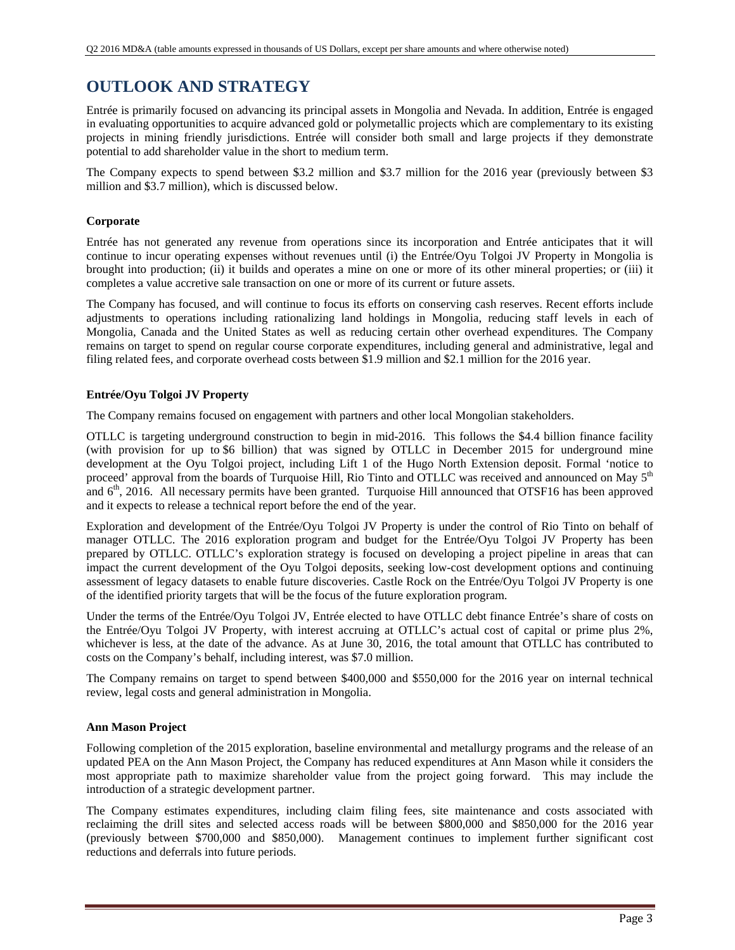## **OUTLOOK AND STRATEGY**

Entrée is primarily focused on advancing its principal assets in Mongolia and Nevada. In addition, Entrée is engaged in evaluating opportunities to acquire advanced gold or polymetallic projects which are complementary to its existing projects in mining friendly jurisdictions. Entrée will consider both small and large projects if they demonstrate potential to add shareholder value in the short to medium term.

The Company expects to spend between \$3.2 million and \$3.7 million for the 2016 year (previously between \$3 million and \$3.7 million), which is discussed below.

#### **Corporate**

Entrée has not generated any revenue from operations since its incorporation and Entrée anticipates that it will continue to incur operating expenses without revenues until (i) the Entrée/Oyu Tolgoi JV Property in Mongolia is brought into production; (ii) it builds and operates a mine on one or more of its other mineral properties; or (iii) it completes a value accretive sale transaction on one or more of its current or future assets.

The Company has focused, and will continue to focus its efforts on conserving cash reserves. Recent efforts include adjustments to operations including rationalizing land holdings in Mongolia, reducing staff levels in each of Mongolia, Canada and the United States as well as reducing certain other overhead expenditures. The Company remains on target to spend on regular course corporate expenditures, including general and administrative, legal and filing related fees, and corporate overhead costs between \$1.9 million and \$2.1 million for the 2016 year.

#### **Entrée/Oyu Tolgoi JV Property**

The Company remains focused on engagement with partners and other local Mongolian stakeholders.

OTLLC is targeting underground construction to begin in mid-2016. This follows the \$4.4 billion finance facility (with provision for up to \$6 billion) that was signed by OTLLC in December 2015 for underground mine development at the Oyu Tolgoi project, including Lift 1 of the Hugo North Extension deposit. Formal 'notice to proceed' approval from the boards of Turquoise Hill, Rio Tinto and OTLLC was received and announced on May 5<sup>th</sup> and  $6<sup>th</sup>$ , 2016. All necessary permits have been granted. Turquoise Hill announced that OTSF16 has been approved and it expects to release a technical report before the end of the year.

Exploration and development of the Entrée/Oyu Tolgoi JV Property is under the control of Rio Tinto on behalf of manager OTLLC. The 2016 exploration program and budget for the Entrée/Oyu Tolgoi JV Property has been prepared by OTLLC. OTLLC's exploration strategy is focused on developing a project pipeline in areas that can impact the current development of the Oyu Tolgoi deposits, seeking low-cost development options and continuing assessment of legacy datasets to enable future discoveries. Castle Rock on the Entrée/Oyu Tolgoi JV Property is one of the identified priority targets that will be the focus of the future exploration program.

Under the terms of the Entrée/Oyu Tolgoi JV, Entrée elected to have OTLLC debt finance Entrée's share of costs on the Entrée/Oyu Tolgoi JV Property, with interest accruing at OTLLC's actual cost of capital or prime plus 2%, whichever is less, at the date of the advance. As at June 30, 2016, the total amount that OTLLC has contributed to costs on the Company's behalf, including interest, was \$7.0 million.

The Company remains on target to spend between \$400,000 and \$550,000 for the 2016 year on internal technical review, legal costs and general administration in Mongolia.

#### **Ann Mason Project**

Following completion of the 2015 exploration, baseline environmental and metallurgy programs and the release of an updated PEA on the Ann Mason Project, the Company has reduced expenditures at Ann Mason while it considers the most appropriate path to maximize shareholder value from the project going forward. This may include the introduction of a strategic development partner.

The Company estimates expenditures, including claim filing fees, site maintenance and costs associated with reclaiming the drill sites and selected access roads will be between \$800,000 and \$850,000 for the 2016 year (previously between \$700,000 and \$850,000). Management continues to implement further significant cost reductions and deferrals into future periods.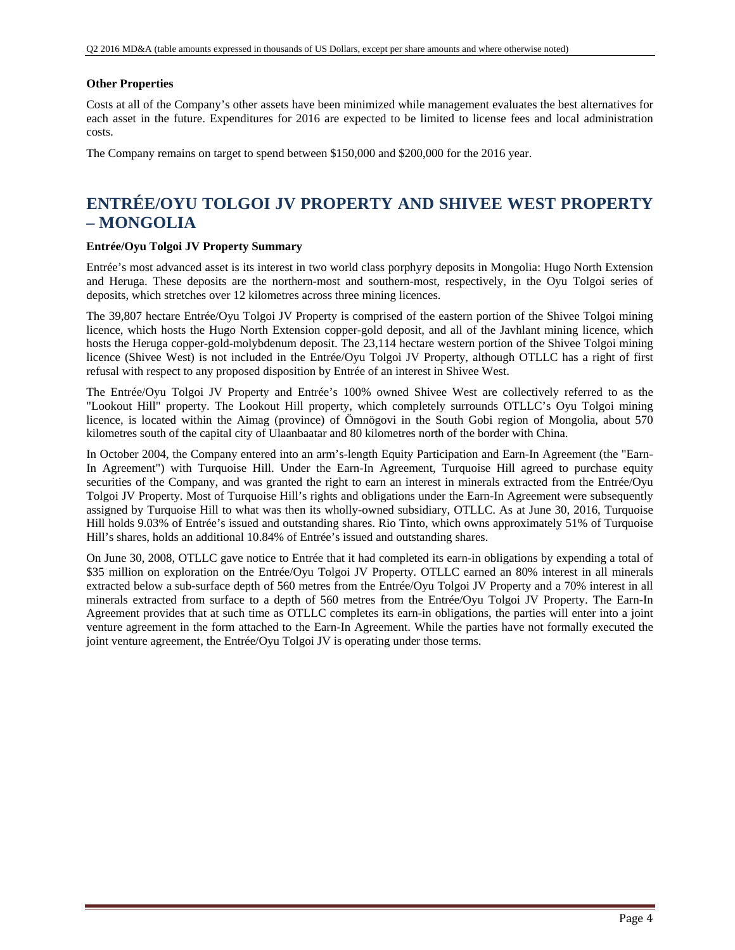#### **Other Properties**

Costs at all of the Company's other assets have been minimized while management evaluates the best alternatives for each asset in the future. Expenditures for 2016 are expected to be limited to license fees and local administration costs.

The Company remains on target to spend between \$150,000 and \$200,000 for the 2016 year.

# **ENTRÉE/OYU TOLGOI JV PROPERTY AND SHIVEE WEST PROPERTY – MONGOLIA**

#### **Entrée/Oyu Tolgoi JV Property Summary**

Entrée's most advanced asset is its interest in two world class porphyry deposits in Mongolia: Hugo North Extension and Heruga. These deposits are the northern-most and southern-most, respectively, in the Oyu Tolgoi series of deposits, which stretches over 12 kilometres across three mining licences.

The 39,807 hectare Entrée/Oyu Tolgoi JV Property is comprised of the eastern portion of the Shivee Tolgoi mining licence, which hosts the Hugo North Extension copper-gold deposit, and all of the Javhlant mining licence, which hosts the Heruga copper-gold-molybdenum deposit. The 23,114 hectare western portion of the Shivee Tolgoi mining licence (Shivee West) is not included in the Entrée/Oyu Tolgoi JV Property, although OTLLC has a right of first refusal with respect to any proposed disposition by Entrée of an interest in Shivee West.

The Entrée/Oyu Tolgoi JV Property and Entrée's 100% owned Shivee West are collectively referred to as the "Lookout Hill" property. The Lookout Hill property, which completely surrounds OTLLC's Oyu Tolgoi mining licence, is located within the Aimag (province) of Ömnögovi in the South Gobi region of Mongolia, about 570 kilometres south of the capital city of Ulaanbaatar and 80 kilometres north of the border with China.

In October 2004, the Company entered into an arm's-length Equity Participation and Earn-In Agreement (the "Earn-In Agreement") with Turquoise Hill. Under the Earn-In Agreement, Turquoise Hill agreed to purchase equity securities of the Company, and was granted the right to earn an interest in minerals extracted from the Entrée/Oyu Tolgoi JV Property. Most of Turquoise Hill's rights and obligations under the Earn-In Agreement were subsequently assigned by Turquoise Hill to what was then its wholly-owned subsidiary, OTLLC. As at June 30, 2016, Turquoise Hill holds 9.03% of Entrée's issued and outstanding shares. Rio Tinto, which owns approximately 51% of Turquoise Hill's shares, holds an additional 10.84% of Entrée's issued and outstanding shares.

On June 30, 2008, OTLLC gave notice to Entrée that it had completed its earn-in obligations by expending a total of \$35 million on exploration on the Entrée/Oyu Tolgoi JV Property. OTLLC earned an 80% interest in all minerals extracted below a sub-surface depth of 560 metres from the Entrée/Oyu Tolgoi JV Property and a 70% interest in all minerals extracted from surface to a depth of 560 metres from the Entrée/Oyu Tolgoi JV Property. The Earn-In Agreement provides that at such time as OTLLC completes its earn-in obligations, the parties will enter into a joint venture agreement in the form attached to the Earn-In Agreement. While the parties have not formally executed the joint venture agreement, the Entrée/Oyu Tolgoi JV is operating under those terms.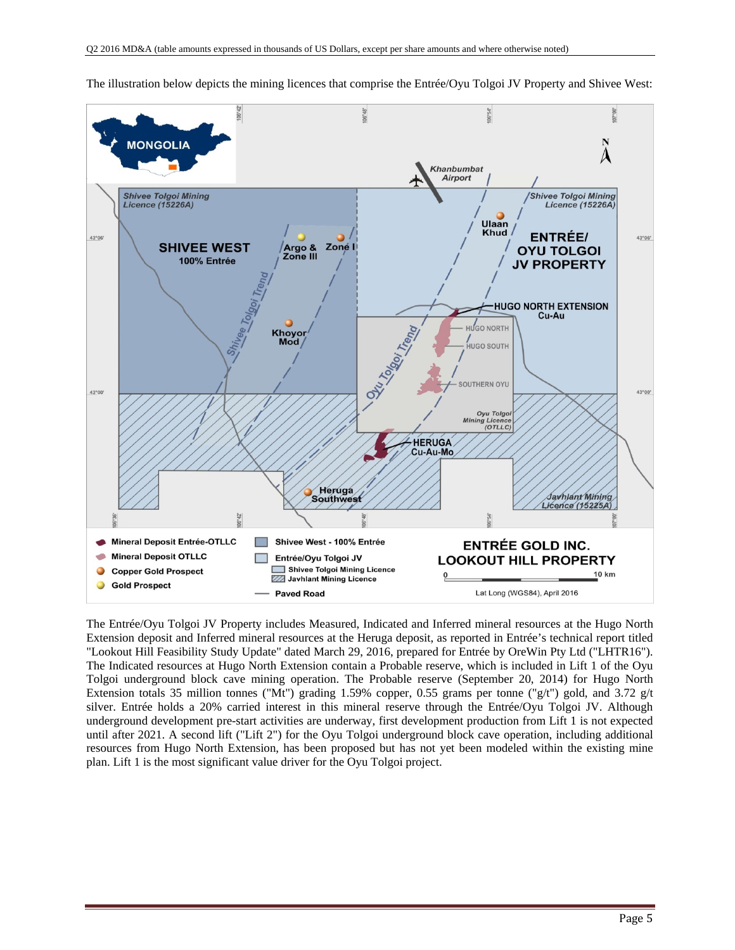

The illustration below depicts the mining licences that comprise the Entrée/Oyu Tolgoi JV Property and Shivee West:

The Entrée/Oyu Tolgoi JV Property includes Measured, Indicated and Inferred mineral resources at the Hugo North Extension deposit and Inferred mineral resources at the Heruga deposit, as reported in Entrée's technical report titled "Lookout Hill Feasibility Study Update" dated March 29, 2016, prepared for Entrée by OreWin Pty Ltd ("LHTR16"). The Indicated resources at Hugo North Extension contain a Probable reserve, which is included in Lift 1 of the Oyu Tolgoi underground block cave mining operation. The Probable reserve (September 20, 2014) for Hugo North Extension totals 35 million tonnes ("Mt") grading 1.59% copper, 0.55 grams per tonne ("g/t") gold, and 3.72 g/t silver. Entrée holds a 20% carried interest in this mineral reserve through the Entrée/Oyu Tolgoi JV. Although underground development pre-start activities are underway, first development production from Lift 1 is not expected until after 2021. A second lift ("Lift 2") for the Oyu Tolgoi underground block cave operation, including additional resources from Hugo North Extension, has been proposed but has not yet been modeled within the existing mine plan. Lift 1 is the most significant value driver for the Oyu Tolgoi project.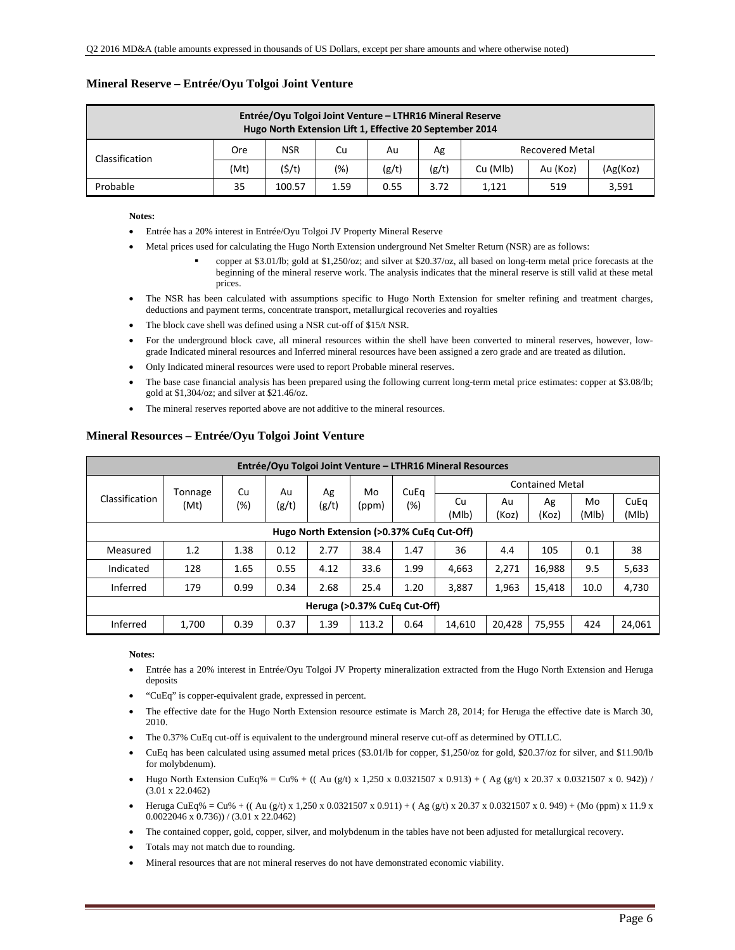|  | Mineral Reserve – Entrée/Oyu Tolgoi Joint Venture |  |
|--|---------------------------------------------------|--|
|--|---------------------------------------------------|--|

| Entrée/Oyu Tolgoi Joint Venture – LTHR16 Mineral Reserve<br>Hugo North Extension Lift 1, Effective 20 September 2014 |                                                                                                  |        |      |      |      |       |     |       |  |  |  |
|----------------------------------------------------------------------------------------------------------------------|--------------------------------------------------------------------------------------------------|--------|------|------|------|-------|-----|-------|--|--|--|
| <b>NSR</b><br>Recovered Metal<br>Cu<br>Ore<br>Ag<br>Au                                                               |                                                                                                  |        |      |      |      |       |     |       |  |  |  |
|                                                                                                                      | Classification<br>(\$/t)<br>(g/t)<br>(g/t)<br>(Mt)<br>$(\%)$<br>(Ag(Koz)<br>Cu (Mlb)<br>Au (Koz) |        |      |      |      |       |     |       |  |  |  |
| Probable                                                                                                             | 35                                                                                               | 100.57 | 1.59 | 0.55 | 3.72 | 1,121 | 519 | 3,591 |  |  |  |

#### **Notes:**

- Entrée has a 20% interest in Entrée/Oyu Tolgoi JV Property Mineral Reserve
- Metal prices used for calculating the Hugo North Extension underground Net Smelter Return (NSR) are as follows:
	- copper at \$3.01/lb; gold at \$1,250/oz; and silver at \$20.37/oz, all based on long-term metal price forecasts at the beginning of the mineral reserve work. The analysis indicates that the mineral reserve is still valid at these metal prices.
- The NSR has been calculated with assumptions specific to Hugo North Extension for smelter refining and treatment charges, deductions and payment terms, concentrate transport, metallurgical recoveries and royalties
- The block cave shell was defined using a NSR cut-off of \$15/t NSR.
- For the underground block cave, all mineral resources within the shell have been converted to mineral reserves, however, lowgrade Indicated mineral resources and Inferred mineral resources have been assigned a zero grade and are treated as dilution.
- Only Indicated mineral resources were used to report Probable mineral reserves.
- The base case financial analysis has been prepared using the following current long-term metal price estimates: copper at \$3.08/lb; gold at \$1,304/oz; and silver at \$21.46/oz.
- The mineral reserves reported above are not additive to the mineral resources.

|                                            | Entrée/Oyu Tolgoi Joint Venture - LTHR16 Mineral Resources |      |       |                  |       |                        |             |             |             |             |               |  |  |
|--------------------------------------------|------------------------------------------------------------|------|-------|------------------|-------|------------------------|-------------|-------------|-------------|-------------|---------------|--|--|
|                                            | Tonnage                                                    | Cu   | Au    | CuEq<br>Ag<br>Mo |       | <b>Contained Metal</b> |             |             |             |             |               |  |  |
| Classification                             | (Mt)                                                       | (%)  | (g/t) | (g/t)            | (ppm) | (%)                    | Cu<br>(Mlb) | Au<br>(Koz) | Ag<br>(Koz) | Mo<br>(Mlb) | CuEq<br>(Mlb) |  |  |
| Hugo North Extension (>0.37% CuEq Cut-Off) |                                                            |      |       |                  |       |                        |             |             |             |             |               |  |  |
| Measured                                   | 1.2                                                        | 1.38 | 0.12  | 2.77             | 38.4  | 1.47                   | 36          | 4.4         | 105         | 0.1         | 38            |  |  |
| Indicated                                  | 128                                                        | 1.65 | 0.55  | 4.12             | 33.6  | 1.99                   | 4,663       | 2.271       | 16.988      | 9.5         | 5,633         |  |  |
| Inferred                                   | 179                                                        | 0.99 | 0.34  | 2.68             | 25.4  | 1.20                   | 3,887       | 1,963       | 15,418      | 10.0        | 4,730         |  |  |
|                                            | Heruga (>0.37% CuEq Cut-Off)                               |      |       |                  |       |                        |             |             |             |             |               |  |  |
| Inferred                                   | 1,700                                                      | 0.39 | 0.37  | 1.39             | 113.2 | 0.64                   | 14.610      | 20.428      | 75.955      | 424         | 24,061        |  |  |

### **Mineral Resources – Entrée/Oyu Tolgoi Joint Venture**

#### **Notes:**

- Entrée has a 20% interest in Entrée/Oyu Tolgoi JV Property mineralization extracted from the Hugo North Extension and Heruga deposits
- "CuEq" is copper-equivalent grade, expressed in percent.
- The effective date for the Hugo North Extension resource estimate is March 28, 2014; for Heruga the effective date is March 30, 2010.
- The 0.37% CuEq cut-off is equivalent to the underground mineral reserve cut-off as determined by OTLLC.
- CuEq has been calculated using assumed metal prices (\$3.01/lb for copper, \$1,250/oz for gold, \$20.37/oz for silver, and \$11.90/lb for molybdenum).
- Hugo North Extension CuEq% = Cu% + ((Au (g/t) x 1,250 x 0.0321507 x 0.913) + (Ag (g/t) x 20.37 x 0.0321507 x 0.942)) / (3.01 x 22.0462)
- Heruga CuEq% = Cu% + (( Au (g/t) x 1,250 x 0.0321507 x 0.911) + ( Ag (g/t) x 20.37 x 0.0321507 x 0. 949) + (Mo (ppm) x 11.9 x 0.0022046 x 0.736)) / (3.01 x 22.0462)
- The contained copper, gold, copper, silver, and molybdenum in the tables have not been adjusted for metallurgical recovery.
- Totals may not match due to rounding.
- Mineral resources that are not mineral reserves do not have demonstrated economic viability.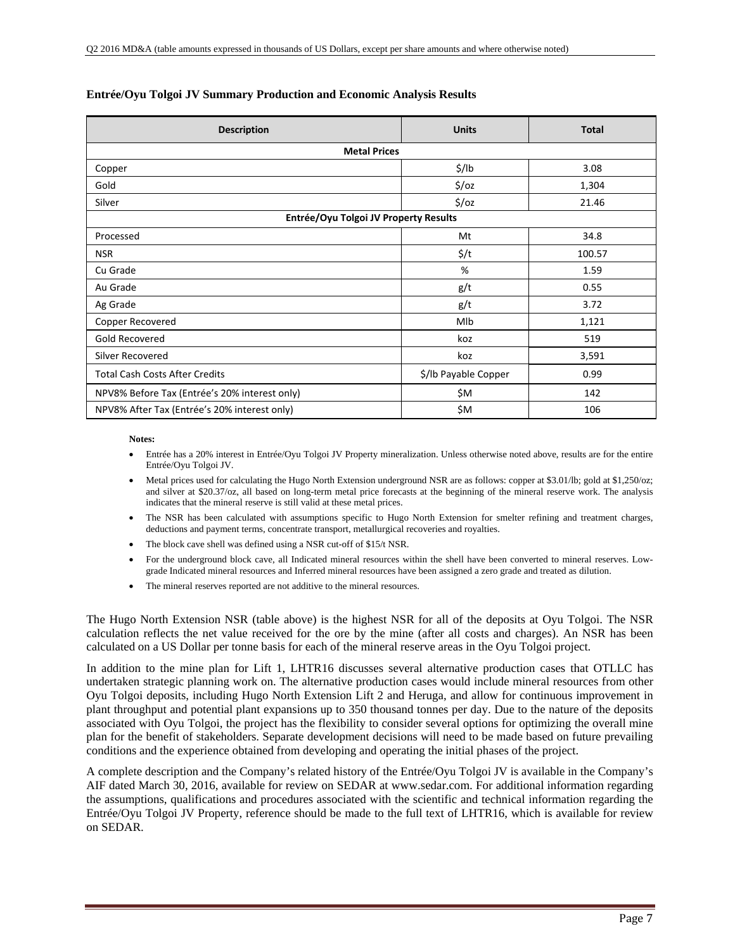| <b>Description</b>                            | <b>Units</b>         | <b>Total</b> |
|-----------------------------------------------|----------------------|--------------|
| <b>Metal Prices</b>                           |                      |              |
| Copper                                        | $\frac{1}{2}$ /lb    | 3.08         |
| Gold                                          | $\frac{2}{3}$ /0z    | 1,304        |
| Silver                                        | $\frac{2}{3}$ /0z    | 21.46        |
| Entrée/Oyu Tolgoi JV Property Results         |                      |              |
| Processed                                     | Mt                   | 34.8         |
| <b>NSR</b>                                    | $\frac{1}{2}$        | 100.57       |
| Cu Grade                                      | %                    | 1.59         |
| Au Grade                                      | g/t                  | 0.55         |
| Ag Grade                                      | g/t                  | 3.72         |
| Copper Recovered                              | Mlb                  | 1,121        |
| Gold Recovered                                | koz                  | 519          |
| Silver Recovered                              | koz                  | 3,591        |
| <b>Total Cash Costs After Credits</b>         | \$/Ib Payable Copper | 0.99         |
| NPV8% Before Tax (Entrée's 20% interest only) | \$M                  | 142          |
| NPV8% After Tax (Entrée's 20% interest only)  | \$M                  | 106          |

#### **Entrée/Oyu Tolgoi JV Summary Production and Economic Analysis Results**

#### **Notes:**

- Entrée has a 20% interest in Entrée/Oyu Tolgoi JV Property mineralization. Unless otherwise noted above, results are for the entire Entrée/Oyu Tolgoi JV.
- Metal prices used for calculating the Hugo North Extension underground NSR are as follows: copper at \$3.01/lb; gold at \$1,250/oz; and silver at \$20.37/oz, all based on long-term metal price forecasts at the beginning of the mineral reserve work. The analysis indicates that the mineral reserve is still valid at these metal prices.
- The NSR has been calculated with assumptions specific to Hugo North Extension for smelter refining and treatment charges, deductions and payment terms, concentrate transport, metallurgical recoveries and royalties.
- The block cave shell was defined using a NSR cut-off of \$15/t NSR.
- For the underground block cave, all Indicated mineral resources within the shell have been converted to mineral reserves. Lowgrade Indicated mineral resources and Inferred mineral resources have been assigned a zero grade and treated as dilution.
- The mineral reserves reported are not additive to the mineral resources.

The Hugo North Extension NSR (table above) is the highest NSR for all of the deposits at Oyu Tolgoi. The NSR calculation reflects the net value received for the ore by the mine (after all costs and charges). An NSR has been calculated on a US Dollar per tonne basis for each of the mineral reserve areas in the Oyu Tolgoi project.

In addition to the mine plan for Lift 1, LHTR16 discusses several alternative production cases that OTLLC has undertaken strategic planning work on. The alternative production cases would include mineral resources from other Oyu Tolgoi deposits, including Hugo North Extension Lift 2 and Heruga, and allow for continuous improvement in plant throughput and potential plant expansions up to 350 thousand tonnes per day. Due to the nature of the deposits associated with Oyu Tolgoi, the project has the flexibility to consider several options for optimizing the overall mine plan for the benefit of stakeholders. Separate development decisions will need to be made based on future prevailing conditions and the experience obtained from developing and operating the initial phases of the project.

A complete description and the Company's related history of the Entrée/Oyu Tolgoi JV is available in the Company's AIF dated March 30, 2016, available for review on SEDAR at www.sedar.com. For additional information regarding the assumptions, qualifications and procedures associated with the scientific and technical information regarding the Entrée/Oyu Tolgoi JV Property, reference should be made to the full text of LHTR16, which is available for review on SEDAR.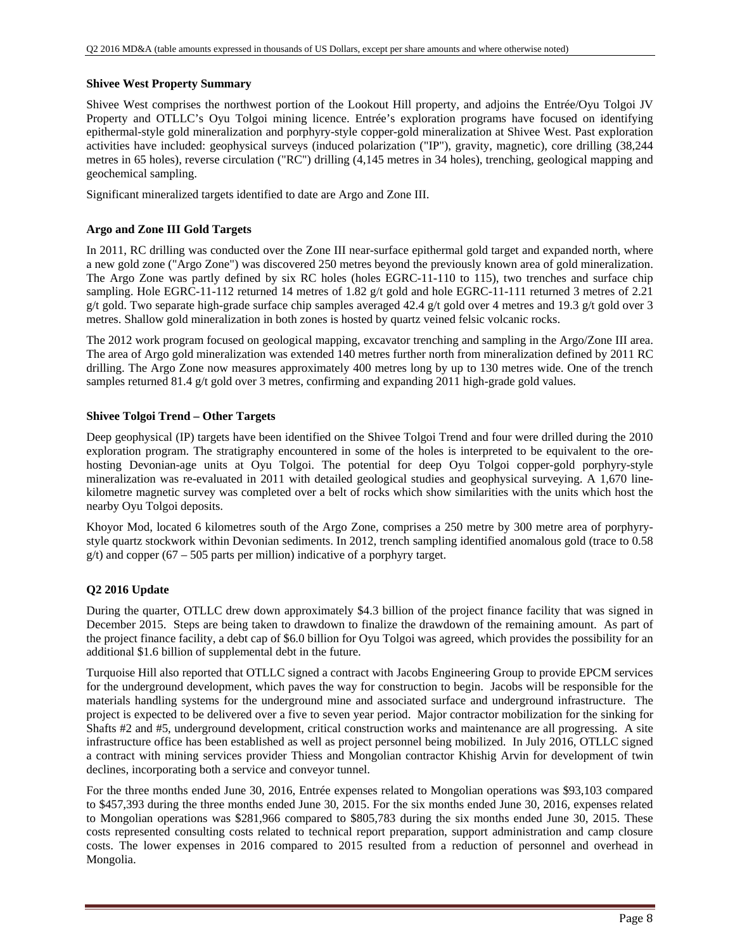#### **Shivee West Property Summary**

Shivee West comprises the northwest portion of the Lookout Hill property, and adjoins the Entrée/Oyu Tolgoi JV Property and OTLLC's Oyu Tolgoi mining licence. Entrée's exploration programs have focused on identifying epithermal-style gold mineralization and porphyry-style copper-gold mineralization at Shivee West. Past exploration activities have included: geophysical surveys (induced polarization ("IP"), gravity, magnetic), core drilling (38,244 metres in 65 holes), reverse circulation ("RC") drilling (4,145 metres in 34 holes), trenching, geological mapping and geochemical sampling.

Significant mineralized targets identified to date are Argo and Zone III.

#### **Argo and Zone III Gold Targets**

In 2011, RC drilling was conducted over the Zone III near-surface epithermal gold target and expanded north, where a new gold zone ("Argo Zone") was discovered 250 metres beyond the previously known area of gold mineralization. The Argo Zone was partly defined by six RC holes (holes EGRC-11-110 to 115), two trenches and surface chip sampling. Hole EGRC-11-112 returned 14 metres of 1.82 g/t gold and hole EGRC-11-111 returned 3 metres of 2.21 g/t gold. Two separate high-grade surface chip samples averaged 42.4 g/t gold over 4 metres and 19.3 g/t gold over 3 metres. Shallow gold mineralization in both zones is hosted by quartz veined felsic volcanic rocks.

The 2012 work program focused on geological mapping, excavator trenching and sampling in the Argo/Zone III area. The area of Argo gold mineralization was extended 140 metres further north from mineralization defined by 2011 RC drilling. The Argo Zone now measures approximately 400 metres long by up to 130 metres wide. One of the trench samples returned 81.4 g/t gold over 3 metres, confirming and expanding 2011 high-grade gold values.

#### **Shivee Tolgoi Trend – Other Targets**

Deep geophysical (IP) targets have been identified on the Shivee Tolgoi Trend and four were drilled during the 2010 exploration program. The stratigraphy encountered in some of the holes is interpreted to be equivalent to the orehosting Devonian-age units at Oyu Tolgoi. The potential for deep Oyu Tolgoi copper-gold porphyry-style mineralization was re-evaluated in 2011 with detailed geological studies and geophysical surveying. A 1,670 linekilometre magnetic survey was completed over a belt of rocks which show similarities with the units which host the nearby Oyu Tolgoi deposits.

Khoyor Mod, located 6 kilometres south of the Argo Zone, comprises a 250 metre by 300 metre area of porphyrystyle quartz stockwork within Devonian sediments. In 2012, trench sampling identified anomalous gold (trace to 0.58  $g(t)$  and copper (67 – 505 parts per million) indicative of a porphyry target.

#### **Q2 2016 Update**

During the quarter, OTLLC drew down approximately \$4.3 billion of the project finance facility that was signed in December 2015. Steps are being taken to drawdown to finalize the drawdown of the remaining amount. As part of the project finance facility, a debt cap of \$6.0 billion for Oyu Tolgoi was agreed, which provides the possibility for an additional \$1.6 billion of supplemental debt in the future.

Turquoise Hill also reported that OTLLC signed a contract with Jacobs Engineering Group to provide EPCM services for the underground development, which paves the way for construction to begin. Jacobs will be responsible for the materials handling systems for the underground mine and associated surface and underground infrastructure. The project is expected to be delivered over a five to seven year period. Major contractor mobilization for the sinking for Shafts #2 and #5, underground development, critical construction works and maintenance are all progressing. A site infrastructure office has been established as well as project personnel being mobilized. In July 2016, OTLLC signed a contract with mining services provider Thiess and Mongolian contractor Khishig Arvin for development of twin declines, incorporating both a service and conveyor tunnel.

For the three months ended June 30, 2016, Entrée expenses related to Mongolian operations was \$93,103 compared to \$457,393 during the three months ended June 30, 2015. For the six months ended June 30, 2016, expenses related to Mongolian operations was \$281,966 compared to \$805,783 during the six months ended June 30, 2015. These costs represented consulting costs related to technical report preparation, support administration and camp closure costs. The lower expenses in 2016 compared to 2015 resulted from a reduction of personnel and overhead in Mongolia.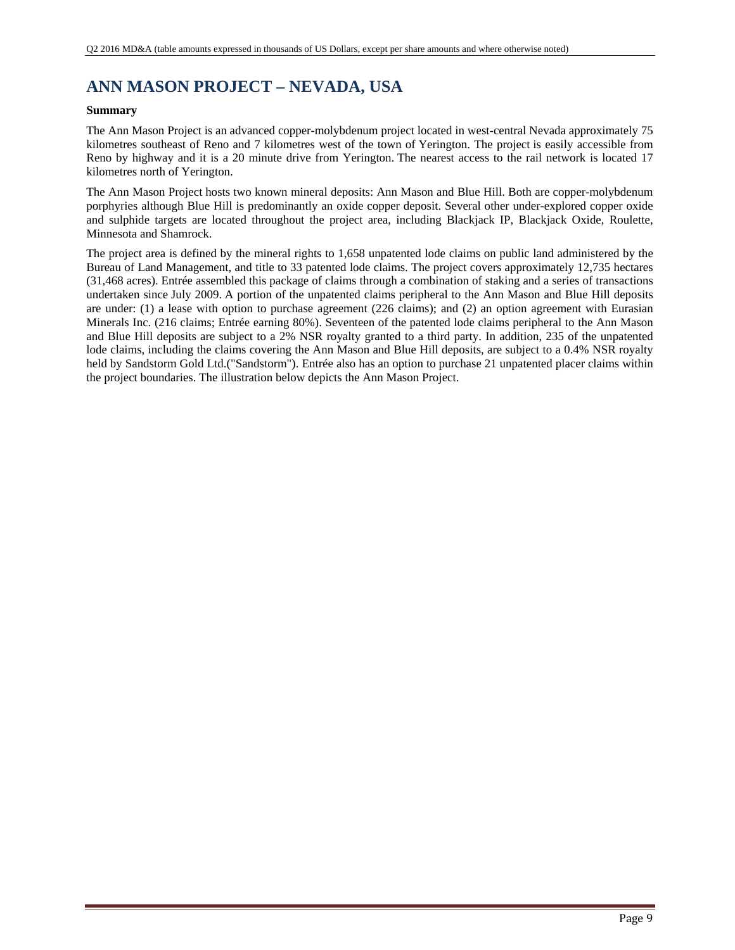# **ANN MASON PROJECT – NEVADA, USA**

#### **Summary**

The Ann Mason Project is an advanced copper-molybdenum project located in west-central Nevada approximately 75 kilometres southeast of Reno and 7 kilometres west of the town of Yerington. The project is easily accessible from Reno by highway and it is a 20 minute drive from Yerington. The nearest access to the rail network is located 17 kilometres north of Yerington.

The Ann Mason Project hosts two known mineral deposits: Ann Mason and Blue Hill. Both are copper-molybdenum porphyries although Blue Hill is predominantly an oxide copper deposit. Several other under-explored copper oxide and sulphide targets are located throughout the project area, including Blackjack IP, Blackjack Oxide, Roulette, Minnesota and Shamrock.

The project area is defined by the mineral rights to 1,658 unpatented lode claims on public land administered by the Bureau of Land Management, and title to 33 patented lode claims. The project covers approximately 12,735 hectares (31,468 acres). Entrée assembled this package of claims through a combination of staking and a series of transactions undertaken since July 2009. A portion of the unpatented claims peripheral to the Ann Mason and Blue Hill deposits are under: (1) a lease with option to purchase agreement (226 claims); and (2) an option agreement with Eurasian Minerals Inc. (216 claims; Entrée earning 80%). Seventeen of the patented lode claims peripheral to the Ann Mason and Blue Hill deposits are subject to a 2% NSR royalty granted to a third party. In addition, 235 of the unpatented lode claims, including the claims covering the Ann Mason and Blue Hill deposits, are subject to a 0.4% NSR royalty held by Sandstorm Gold Ltd.("Sandstorm"). Entrée also has an option to purchase 21 unpatented placer claims within the project boundaries. The illustration below depicts the Ann Mason Project.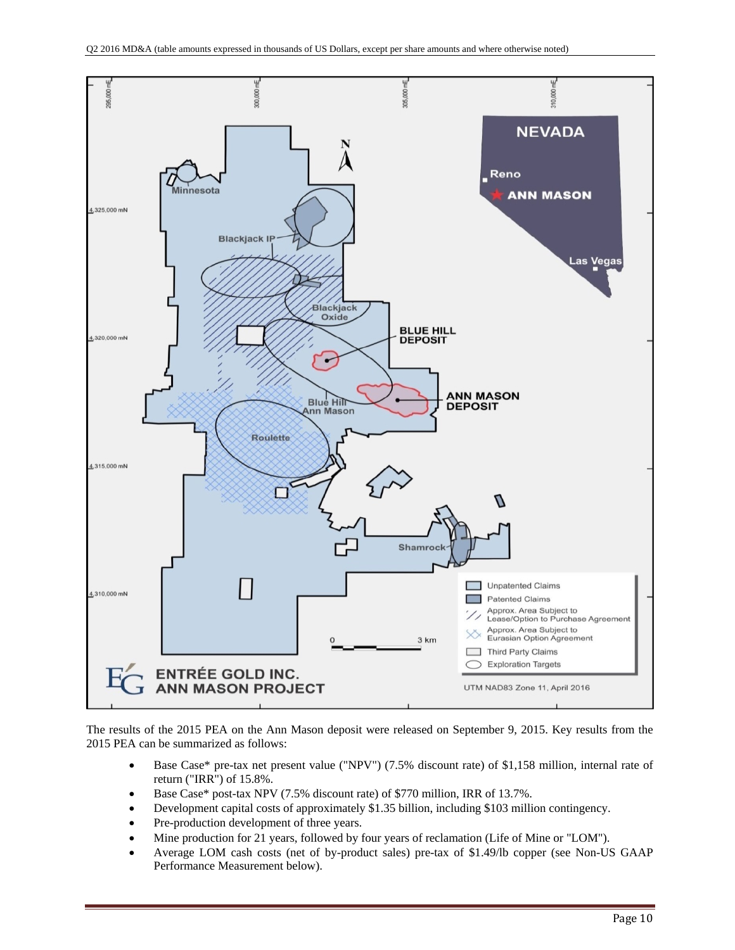

The results of the 2015 PEA on the Ann Mason deposit were released on September 9, 2015. Key results from the 2015 PEA can be summarized as follows:

- Base Case\* pre-tax net present value ("NPV") (7.5% discount rate) of \$1,158 million, internal rate of return ("IRR") of 15.8%.
- Base Case\* post-tax NPV (7.5% discount rate) of \$770 million, IRR of 13.7%.
- Development capital costs of approximately \$1.35 billion, including \$103 million contingency.
- Pre-production development of three years.
- Mine production for 21 years, followed by four years of reclamation (Life of Mine or "LOM").
- Average LOM cash costs (net of by-product sales) pre-tax of \$1.49/lb copper (see Non-US GAAP Performance Measurement below).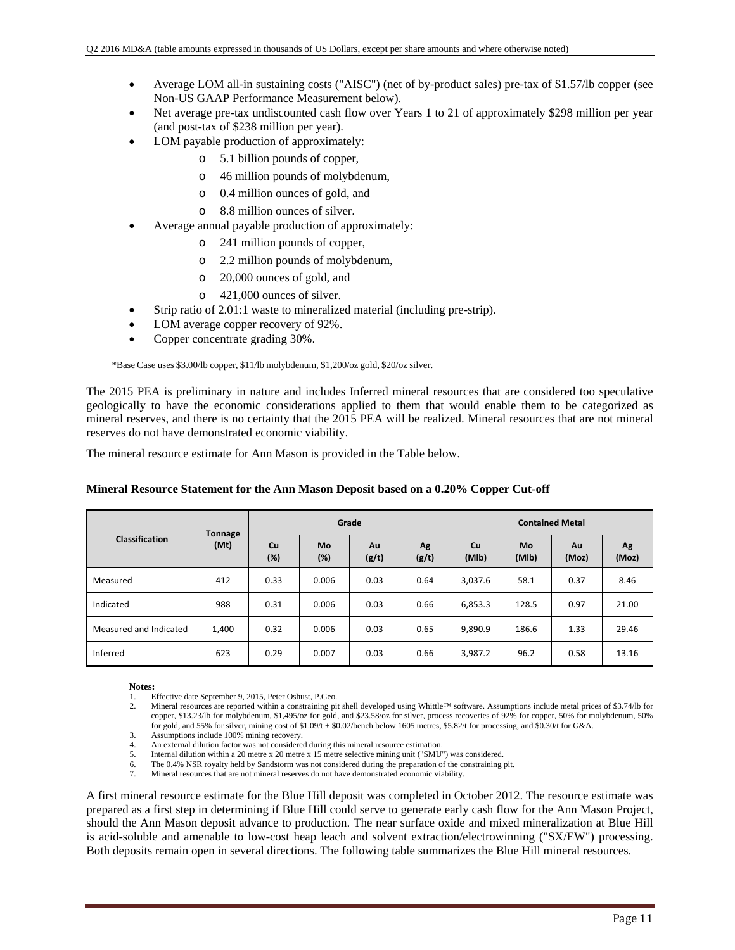- Average LOM all-in sustaining costs ("AISC") (net of by-product sales) pre-tax of \$1.57/lb copper (see Non-US GAAP Performance Measurement below).
- Net average pre-tax undiscounted cash flow over Years 1 to 21 of approximately \$298 million per year (and post-tax of \$238 million per year).
- LOM payable production of approximately:
	- o 5.1 billion pounds of copper,
	- o 46 million pounds of molybdenum,
	- o 0.4 million ounces of gold, and
	- o 8.8 million ounces of silver.
- Average annual payable production of approximately:
	- o 241 million pounds of copper,
	- o 2.2 million pounds of molybdenum,
	- o 20,000 ounces of gold, and
	- o 421,000 ounces of silver.
- Strip ratio of 2.01:1 waste to mineralized material (including pre-strip).
- LOM average copper recovery of 92%.
- Copper concentrate grading 30%.

\*Base Case uses \$3.00/lb copper, \$11/lb molybdenum, \$1,200/oz gold, \$20/oz silver.

The 2015 PEA is preliminary in nature and includes Inferred mineral resources that are considered too speculative geologically to have the economic considerations applied to them that would enable them to be categorized as mineral reserves, and there is no certainty that the 2015 PEA will be realized. Mineral resources that are not mineral reserves do not have demonstrated economic viability.

The mineral resource estimate for Ann Mason is provided in the Table below.

|                        | <b>Tonnage</b> |           |                  | Grade       |             | <b>Contained Metal</b> |             |             |             |  |  |
|------------------------|----------------|-----------|------------------|-------------|-------------|------------------------|-------------|-------------|-------------|--|--|
| Classification         | (Mt)           | Cu<br>(%) | <b>Mo</b><br>(%) | Au<br>(g/t) | Ag<br>(g/t) | Cu<br>(MIb)            | Mo<br>(MIb) | Au<br>(Moz) | Ag<br>(Moz) |  |  |
| Measured               | 412            | 0.33      | 0.006            | 0.03        | 0.64        | 3,037.6                | 58.1        | 0.37        | 8.46        |  |  |
| Indicated              | 988            | 0.31      | 0.006            | 0.03        | 0.66        | 6,853.3                | 128.5       | 0.97        | 21.00       |  |  |
| Measured and Indicated | 1,400          | 0.32      | 0.006            | 0.03        | 0.65        | 9,890.9                | 186.6       | 1.33        | 29.46       |  |  |
| Inferred               | 623            | 0.29      | 0.007            | 0.03        | 0.66        | 3,987.2                | 96.2        | 0.58        | 13.16       |  |  |

#### **Mineral Resource Statement for the Ann Mason Deposit based on a 0.20% Copper Cut-off**

#### **Notes:**

- 1. Effective date September 9, 2015, Peter Oshust, P.Geo.<br>2. Mineral resources are reported within a constraining pit
- 2. Mineral resources are reported within a constraining pit shell developed using Whittle™ software. Assumptions include metal prices of \$3.74/lb for copper, \$13.23/lb for molybdenum, \$1,495/oz for gold, and \$23.58/oz for silver, process recoveries of 92% for copper, 50% for molybdenum, 50% for gold, and 55% for silver, mining cost of \$1.09/t + \$0.02/bench below 1605 metres, \$5.82/t for processing, and \$0.30/t for G&A.
- 3. Assumptions include 100% mining recovery.<br>4 An external dilution factor was not considered
- An external dilution factor was not considered during this mineral resource estimation.
- 5. Internal dilution within a 20 metre x 20 metre x 15 metre selective mining unit ("SMU") was considered.
- 6. The 0.4% NSR royalty held by Sandstorm was not considered during the preparation of the constraining pit. 7. Mineral resources that are not mineral reserves do not have demonstrated economic viability.

A first mineral resource estimate for the Blue Hill deposit was completed in October 2012. The resource estimate was prepared as a first step in determining if Blue Hill could serve to generate early cash flow for the Ann Mason Project, should the Ann Mason deposit advance to production. The near surface oxide and mixed mineralization at Blue Hill is acid-soluble and amenable to low-cost heap leach and solvent extraction/electrowinning ("SX/EW") processing. Both deposits remain open in several directions. The following table summarizes the Blue Hill mineral resources.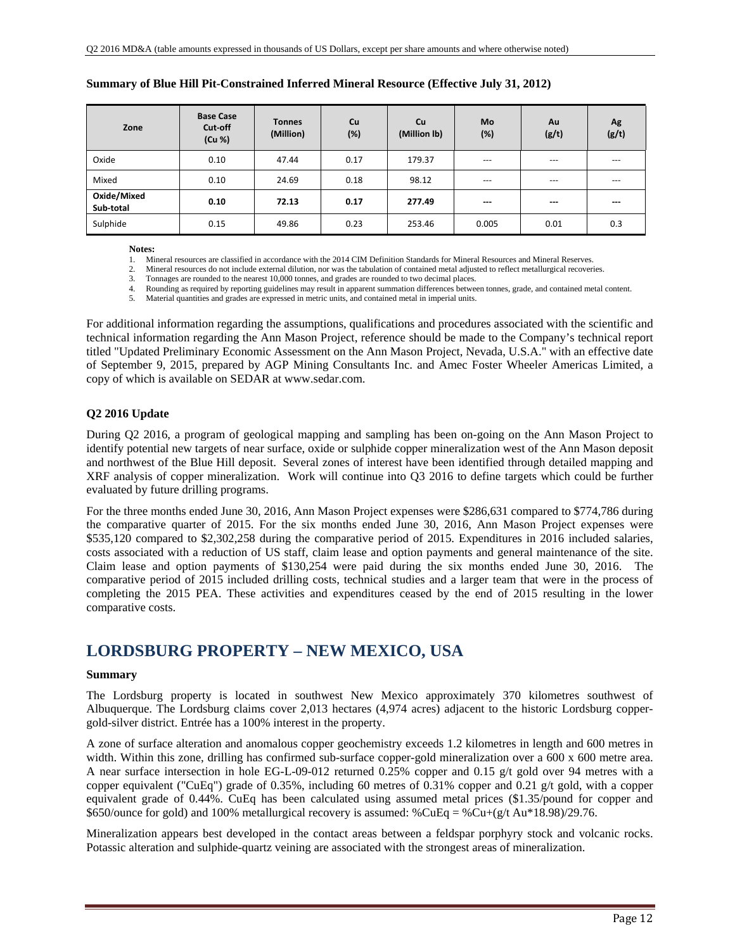| Zone                     | <b>Base Case</b><br>Cut-off<br>(Cu %) | <b>Tonnes</b><br>(Million) | <b>Cu</b><br>(%) | <b>Cu</b><br>(Million lb) | <b>Mo</b><br>(%)  | Au<br>(g/t)            | Ag<br>(g/t)            |
|--------------------------|---------------------------------------|----------------------------|------------------|---------------------------|-------------------|------------------------|------------------------|
| Oxide                    | 0.10                                  | 47.44                      | 0.17             | 179.37                    | $---$             | $---$                  | $---$                  |
| Mixed                    | 0.10                                  | 24.69                      | 0.18             | 98.12                     | $---$             | $---$                  | $---$                  |
| Oxide/Mixed<br>Sub-total | 0.10                                  | 72.13                      | 0.17             | 277.49                    | <b>STATISTICS</b> | $\qquad \qquad \cdots$ | $\qquad \qquad \cdots$ |
| Sulphide                 | 0.15                                  | 49.86                      | 0.23             | 253.46                    | 0.005             | 0.01                   | 0.3                    |

#### **Summary of Blue Hill Pit-Constrained Inferred Mineral Resource (Effective July 31, 2012)**

**Notes:** 

1. Mineral resources are classified in accordance with the 2014 CIM Definition Standards for Mineral Resources and Mineral Reserves.<br>2. Mineral resources do not include external dilution, nor was the tabulation of containe

2. Mineral resources do not include external dilution, nor was the tabulation of contained metal adjusted to reflect metallurgical recoveries.

3. Tonnages are rounded to the nearest 10,000 tonnes, and grades are rounded to two decimal places.

4. Rounding as required by reporting guidelines may result in apparent summation differences between tonnes, grade, and contained metal content.

5. Material quantities and grades are expressed in metric units, and contained metal in imperial units.

For additional information regarding the assumptions, qualifications and procedures associated with the scientific and technical information regarding the Ann Mason Project, reference should be made to the Company's technical report titled "Updated Preliminary Economic Assessment on the Ann Mason Project, Nevada, U.S.A." with an effective date of September 9, 2015, prepared by AGP Mining Consultants Inc. and Amec Foster Wheeler Americas Limited, a copy of which is available on SEDAR at www.sedar.com.

#### **Q2 2016 Update**

During Q2 2016, a program of geological mapping and sampling has been on-going on the Ann Mason Project to identify potential new targets of near surface, oxide or sulphide copper mineralization west of the Ann Mason deposit and northwest of the Blue Hill deposit. Several zones of interest have been identified through detailed mapping and XRF analysis of copper mineralization. Work will continue into Q3 2016 to define targets which could be further evaluated by future drilling programs.

For the three months ended June 30, 2016, Ann Mason Project expenses were \$286,631 compared to \$774,786 during the comparative quarter of 2015. For the six months ended June 30, 2016, Ann Mason Project expenses were \$535,120 compared to \$2,302,258 during the comparative period of 2015. Expenditures in 2016 included salaries, costs associated with a reduction of US staff, claim lease and option payments and general maintenance of the site. Claim lease and option payments of \$130,254 were paid during the six months ended June 30, 2016. The comparative period of 2015 included drilling costs, technical studies and a larger team that were in the process of completing the 2015 PEA. These activities and expenditures ceased by the end of 2015 resulting in the lower comparative costs.

### **LORDSBURG PROPERTY – NEW MEXICO, USA**

#### **Summary**

The Lordsburg property is located in southwest New Mexico approximately 370 kilometres southwest of Albuquerque. The Lordsburg claims cover 2,013 hectares (4,974 acres) adjacent to the historic Lordsburg coppergold-silver district. Entrée has a 100% interest in the property.

A zone of surface alteration and anomalous copper geochemistry exceeds 1.2 kilometres in length and 600 metres in width. Within this zone, drilling has confirmed sub-surface copper-gold mineralization over a 600 x 600 metre area. A near surface intersection in hole EG-L-09-012 returned 0.25% copper and 0.15 g/t gold over 94 metres with a copper equivalent ("CuEq") grade of 0.35%, including 60 metres of 0.31% copper and 0.21 g/t gold, with a copper equivalent grade of 0.44%. CuEq has been calculated using assumed metal prices (\$1.35/pound for copper and \$650/ounce for gold) and 100% metallurgical recovery is assumed:  $\textdegree$ Cu+( $\textdegree$ g/t Au\*18.98)/29.76.

Mineralization appears best developed in the contact areas between a feldspar porphyry stock and volcanic rocks. Potassic alteration and sulphide-quartz veining are associated with the strongest areas of mineralization.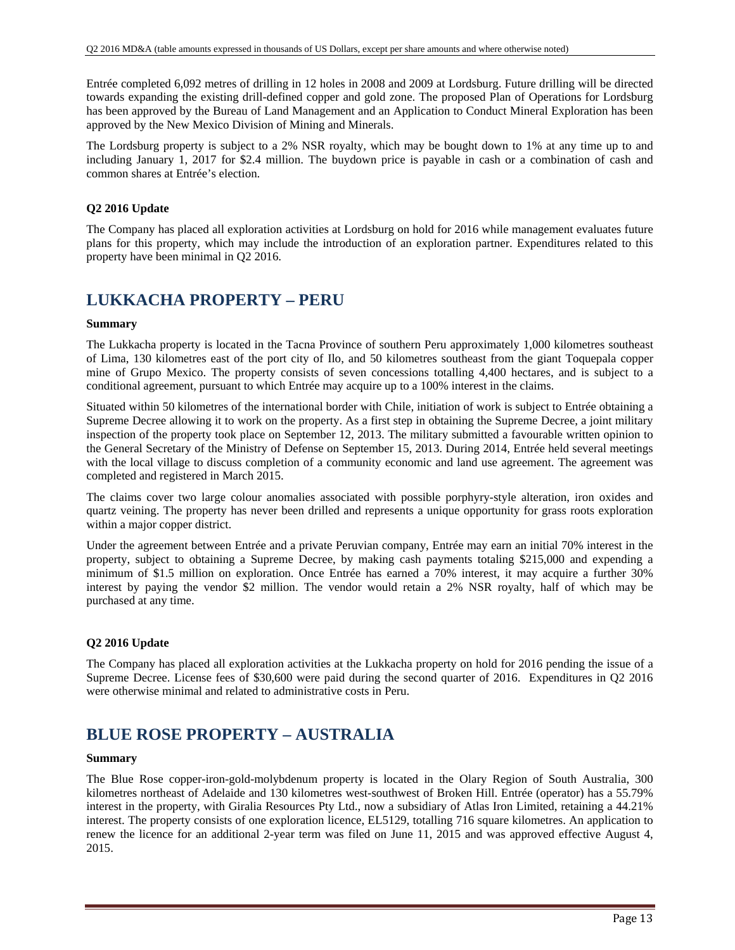Entrée completed 6,092 metres of drilling in 12 holes in 2008 and 2009 at Lordsburg. Future drilling will be directed towards expanding the existing drill-defined copper and gold zone. The proposed Plan of Operations for Lordsburg has been approved by the Bureau of Land Management and an Application to Conduct Mineral Exploration has been approved by the New Mexico Division of Mining and Minerals.

The Lordsburg property is subject to a 2% NSR royalty, which may be bought down to 1% at any time up to and including January 1, 2017 for \$2.4 million. The buydown price is payable in cash or a combination of cash and common shares at Entrée's election.

### **Q2 2016 Update**

The Company has placed all exploration activities at Lordsburg on hold for 2016 while management evaluates future plans for this property, which may include the introduction of an exploration partner. Expenditures related to this property have been minimal in Q2 2016.

## **LUKKACHA PROPERTY – PERU**

#### **Summary**

The Lukkacha property is located in the Tacna Province of southern Peru approximately 1,000 kilometres southeast of Lima, 130 kilometres east of the port city of Ilo, and 50 kilometres southeast from the giant Toquepala copper mine of Grupo Mexico. The property consists of seven concessions totalling 4,400 hectares, and is subject to a conditional agreement, pursuant to which Entrée may acquire up to a 100% interest in the claims.

Situated within 50 kilometres of the international border with Chile, initiation of work is subject to Entrée obtaining a Supreme Decree allowing it to work on the property. As a first step in obtaining the Supreme Decree, a joint military inspection of the property took place on September 12, 2013. The military submitted a favourable written opinion to the General Secretary of the Ministry of Defense on September 15, 2013. During 2014, Entrée held several meetings with the local village to discuss completion of a community economic and land use agreement. The agreement was completed and registered in March 2015.

The claims cover two large colour anomalies associated with possible porphyry-style alteration, iron oxides and quartz veining. The property has never been drilled and represents a unique opportunity for grass roots exploration within a major copper district.

Under the agreement between Entrée and a private Peruvian company, Entrée may earn an initial 70% interest in the property, subject to obtaining a Supreme Decree, by making cash payments totaling \$215,000 and expending a minimum of \$1.5 million on exploration. Once Entrée has earned a 70% interest, it may acquire a further 30% interest by paying the vendor \$2 million. The vendor would retain a 2% NSR royalty, half of which may be purchased at any time.

#### **Q2 2016 Update**

The Company has placed all exploration activities at the Lukkacha property on hold for 2016 pending the issue of a Supreme Decree. License fees of \$30,600 were paid during the second quarter of 2016. Expenditures in Q2 2016 were otherwise minimal and related to administrative costs in Peru.

## **BLUE ROSE PROPERTY – AUSTRALIA**

#### **Summary**

The Blue Rose copper-iron-gold-molybdenum property is located in the Olary Region of South Australia, 300 kilometres northeast of Adelaide and 130 kilometres west-southwest of Broken Hill. Entrée (operator) has a 55.79% interest in the property, with Giralia Resources Pty Ltd., now a subsidiary of Atlas Iron Limited, retaining a 44.21% interest. The property consists of one exploration licence, EL5129, totalling 716 square kilometres. An application to renew the licence for an additional 2-year term was filed on June 11, 2015 and was approved effective August 4, 2015.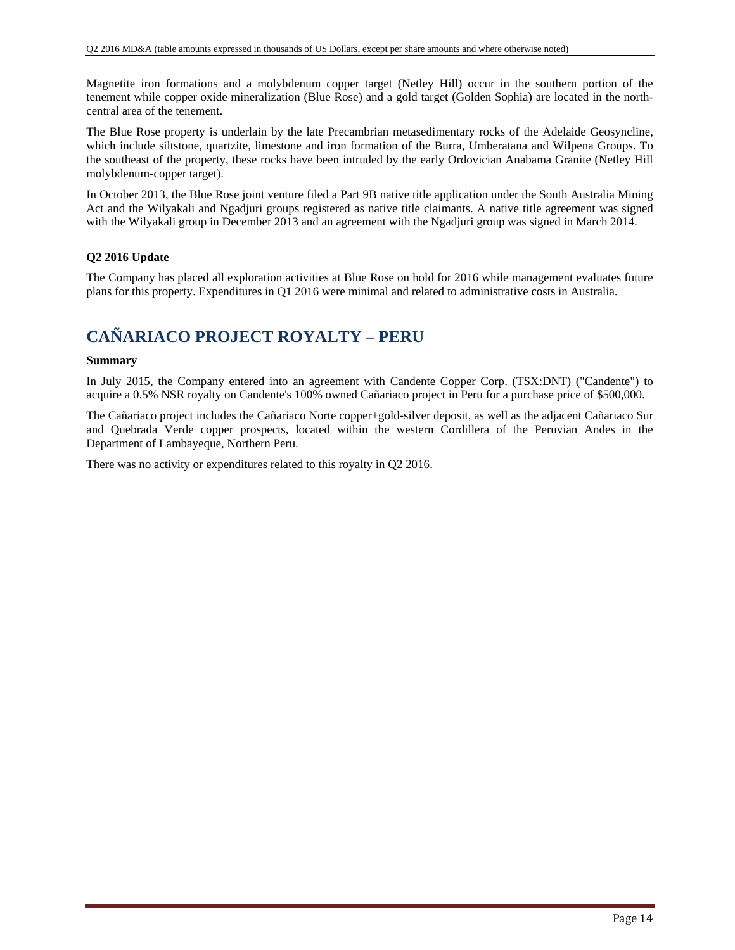Magnetite iron formations and a molybdenum copper target (Netley Hill) occur in the southern portion of the tenement while copper oxide mineralization (Blue Rose) and a gold target (Golden Sophia) are located in the northcentral area of the tenement.

The Blue Rose property is underlain by the late Precambrian metasedimentary rocks of the Adelaide Geosyncline, which include siltstone, quartzite, limestone and iron formation of the Burra, Umberatana and Wilpena Groups. To the southeast of the property, these rocks have been intruded by the early Ordovician Anabama Granite (Netley Hill molybdenum-copper target).

In October 2013, the Blue Rose joint venture filed a Part 9B native title application under the South Australia Mining Act and the Wilyakali and Ngadjuri groups registered as native title claimants. A native title agreement was signed with the Wilyakali group in December 2013 and an agreement with the Ngadjuri group was signed in March 2014.

### **Q2 2016 Update**

The Company has placed all exploration activities at Blue Rose on hold for 2016 while management evaluates future plans for this property. Expenditures in Q1 2016 were minimal and related to administrative costs in Australia.

## **CAÑARIACO PROJECT ROYALTY – PERU**

#### **Summary**

In July 2015, the Company entered into an agreement with Candente Copper Corp. (TSX:DNT) ("Candente") to acquire a 0.5% NSR royalty on Candente's 100% owned Cañariaco project in Peru for a purchase price of \$500,000.

The Cañariaco project includes the Cañariaco Norte copper±gold-silver deposit, as well as the adjacent Cañariaco Sur and Quebrada Verde copper prospects, located within the western Cordillera of the Peruvian Andes in the Department of Lambayeque, Northern Peru.

There was no activity or expenditures related to this royalty in Q2 2016.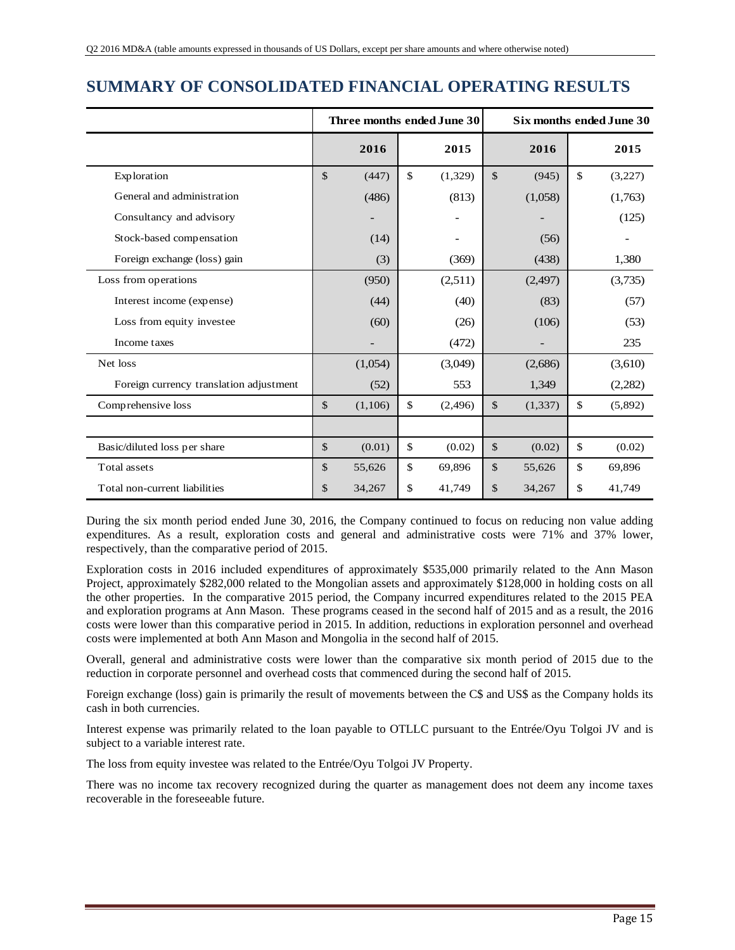## **SUMMARY OF CONSOLIDATED FINANCIAL OPERATING RESULTS**

|                                         |               | Three months ended June 30 |              |         |               |          |              | Six months ended June 30 |
|-----------------------------------------|---------------|----------------------------|--------------|---------|---------------|----------|--------------|--------------------------|
|                                         |               | 2016                       |              | 2015    |               | 2016     |              | 2015                     |
| Exploration                             | $\mathcal{S}$ | (447)                      | $\mathbb{S}$ | (1,329) | $\mathcal{S}$ | (945)    | $\mathbb{S}$ | (3,227)                  |
| General and administration              |               | (486)                      |              | (813)   |               | (1,058)  |              | (1,763)                  |
| Consultancy and advisory                |               |                            |              |         |               |          |              | (125)                    |
| Stock-based compensation                |               | (14)                       |              |         |               | (56)     |              |                          |
| Foreign exchange (loss) gain            |               | (3)                        |              | (369)   |               | (438)    |              | 1,380                    |
| Loss from operations                    |               | (950)                      |              | (2,511) |               | (2,497)  |              | (3,735)                  |
| Interest income (expense)               |               | (44)                       |              | (40)    |               | (83)     |              | (57)                     |
| Loss from equity investee               |               | (60)                       |              | (26)    |               | (106)    |              | (53)                     |
| Income taxes                            |               |                            |              | (472)   |               |          |              | 235                      |
| Net loss                                |               | (1,054)                    |              | (3,049) |               | (2,686)  |              | (3,610)                  |
| Foreign currency translation adjustment |               | (52)                       |              | 553     |               | 1,349    |              | (2,282)                  |
| Comprehensive loss                      | $\mathcal{S}$ | (1,106)                    | $\mathbb{S}$ | (2,496) | \$            | (1, 337) | $\mathbb{S}$ | (5,892)                  |
|                                         |               |                            |              |         |               |          |              |                          |
| Basic/diluted loss per share            | $\mathcal{S}$ | (0.01)                     | \$           | (0.02)  | $\mathbb{S}$  | (0.02)   | $\mathbb{S}$ | (0.02)                   |
| Total assets                            | \$            | 55,626                     | \$           | 69,896  | \$            | 55,626   | \$           | 69,896                   |
| Total non-current liabilities           | \$            | 34,267                     | \$           | 41,749  | \$            | 34,267   | \$           | 41,749                   |

During the six month period ended June 30, 2016, the Company continued to focus on reducing non value adding expenditures. As a result, exploration costs and general and administrative costs were 71% and 37% lower, respectively, than the comparative period of 2015.

Exploration costs in 2016 included expenditures of approximately \$535,000 primarily related to the Ann Mason Project, approximately \$282,000 related to the Mongolian assets and approximately \$128,000 in holding costs on all the other properties. In the comparative 2015 period, the Company incurred expenditures related to the 2015 PEA and exploration programs at Ann Mason. These programs ceased in the second half of 2015 and as a result, the 2016 costs were lower than this comparative period in 2015. In addition, reductions in exploration personnel and overhead costs were implemented at both Ann Mason and Mongolia in the second half of 2015.

Overall, general and administrative costs were lower than the comparative six month period of 2015 due to the reduction in corporate personnel and overhead costs that commenced during the second half of 2015.

Foreign exchange (loss) gain is primarily the result of movements between the C\$ and US\$ as the Company holds its cash in both currencies.

Interest expense was primarily related to the loan payable to OTLLC pursuant to the Entrée/Oyu Tolgoi JV and is subject to a variable interest rate.

The loss from equity investee was related to the Entrée/Oyu Tolgoi JV Property.

There was no income tax recovery recognized during the quarter as management does not deem any income taxes recoverable in the foreseeable future.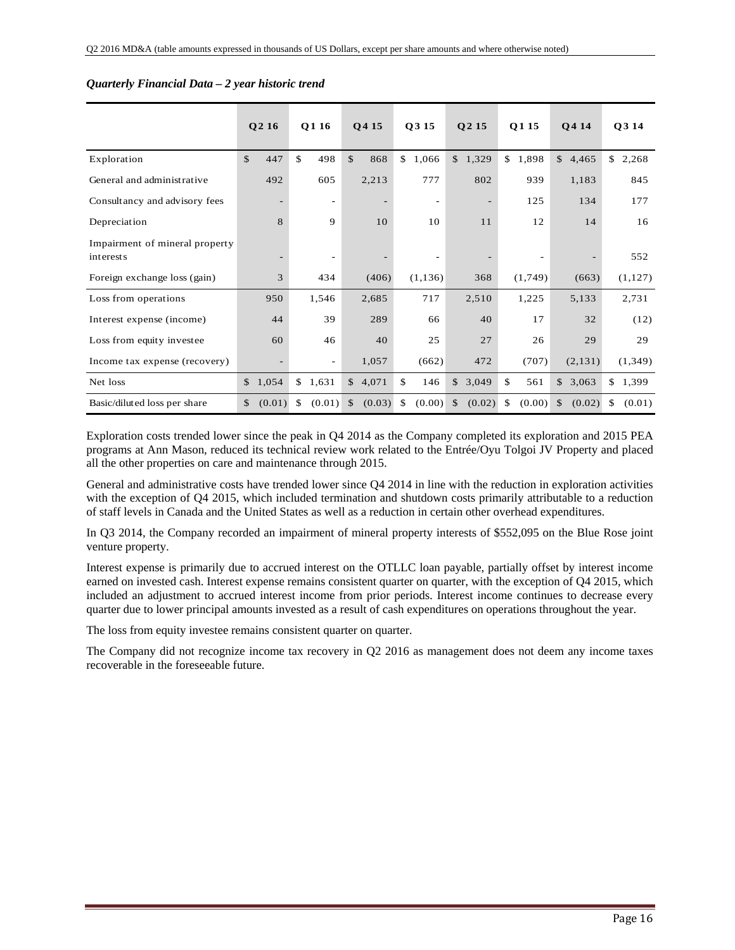|                                             |               | Q2 16                    | O <sub>1</sub> 16        |               | O <sub>415</sub> | Q3 15                    | O <sub>2</sub> 15 | O <sub>115</sub> |              | <b>O4 14</b> | O3 14        |
|---------------------------------------------|---------------|--------------------------|--------------------------|---------------|------------------|--------------------------|-------------------|------------------|--------------|--------------|--------------|
| Exploration                                 | $\mathcal{S}$ | 447                      | \$<br>498                | $\mathbb{S}$  | 868              | \$<br>1,066              | \$1,329           | \$<br>1,898      | $\mathbb{S}$ | 4,465        | \$<br>2,268  |
| General and administrative                  |               | 492                      | 605                      |               | 2,213            | 777                      | 802               | 939              |              | 1,183        | 845          |
| Consultancy and advisory fees               |               | $\overline{\phantom{0}}$ | $\overline{\phantom{a}}$ |               |                  | $\overline{\phantom{a}}$ |                   | 125              |              | 134          | 177          |
| Depreciation                                |               | 8                        | 9                        |               | 10               | 10                       | 11                | 12               |              | 14           | 16           |
| Impairment of mineral property<br>interests |               |                          | $\overline{\phantom{a}}$ |               |                  | $\overline{\phantom{a}}$ |                   |                  |              |              | 552          |
| Foreign exchange loss (gain)                |               | 3                        | 434                      |               | (406)            | (1, 136)                 | 368               | (1,749)          |              | (663)        | (1,127)      |
| Loss from operations                        |               | 950                      | 1,546                    |               | 2,685            | 717                      | 2,510             | 1,225            |              | 5,133        | 2,731        |
| Interest expense (income)                   |               | 44                       | 39                       |               | 289              | 66                       | 40                | 17               |              | 32           | (12)         |
| Loss from equity investee                   |               | 60                       | 46                       |               | 40               | 25                       | 27                | 26               |              | 29           | 29           |
| Income tax expense (recovery)               |               |                          | $\overline{\phantom{a}}$ |               | 1,057            | (662)                    | 472               | (707)            |              | (2, 131)     | (1, 349)     |
| Net loss                                    | $\mathbb{S}$  | 1,054                    | \$1,631                  | $\mathbb{S}$  | 4,071            | \$<br>146                | \$3,049           | \$<br>561        |              | \$3,063      | \$1,399      |
| Basic/diluted loss per share                | $\mathbb{S}$  | (0.01)                   | \$<br>(0.01)             | $\mathcal{S}$ | (0.03)           | \$<br>(0.00)             | \$<br>(0.02)      | \$<br>(0.00)     | \$           | (0.02)       | \$<br>(0.01) |

#### *Quarterly Financial Data – 2 year historic trend*

Exploration costs trended lower since the peak in Q4 2014 as the Company completed its exploration and 2015 PEA programs at Ann Mason, reduced its technical review work related to the Entrée/Oyu Tolgoi JV Property and placed all the other properties on care and maintenance through 2015.

General and administrative costs have trended lower since Q4 2014 in line with the reduction in exploration activities with the exception of Q4 2015, which included termination and shutdown costs primarily attributable to a reduction of staff levels in Canada and the United States as well as a reduction in certain other overhead expenditures.

In Q3 2014, the Company recorded an impairment of mineral property interests of \$552,095 on the Blue Rose joint venture property.

Interest expense is primarily due to accrued interest on the OTLLC loan payable, partially offset by interest income earned on invested cash. Interest expense remains consistent quarter on quarter, with the exception of Q4 2015, which included an adjustment to accrued interest income from prior periods. Interest income continues to decrease every quarter due to lower principal amounts invested as a result of cash expenditures on operations throughout the year.

The loss from equity investee remains consistent quarter on quarter.

The Company did not recognize income tax recovery in Q2 2016 as management does not deem any income taxes recoverable in the foreseeable future.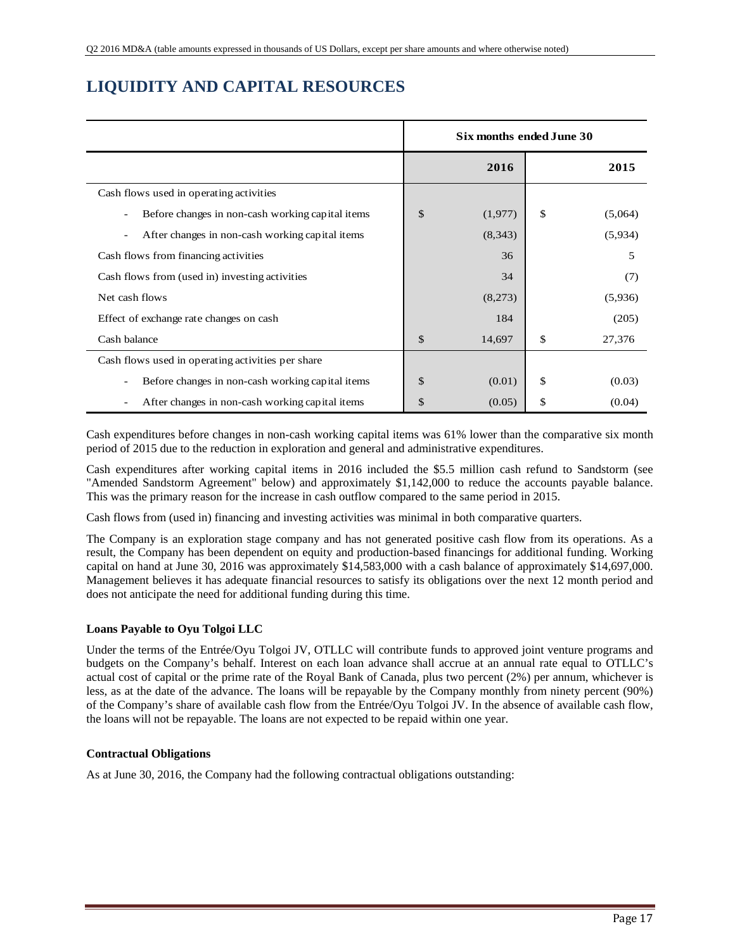# **LIQUIDITY AND CAPITAL RESOURCES**

|                                                                             | Six months ended June 30 |               |
|-----------------------------------------------------------------------------|--------------------------|---------------|
|                                                                             | 2016                     | 2015          |
| Cash flows used in operating activities                                     |                          |               |
| Before changes in non-cash working capital items                            | \$<br>(1,977)            | \$<br>(5,064) |
| After changes in non-cash working capital items<br>$\overline{\phantom{a}}$ | (8,343)                  | (5,934)       |
| Cash flows from financing activities                                        | 36                       | 5             |
| Cash flows from (used in) investing activities                              | 34                       | (7)           |
| Net cash flows                                                              | (8,273)                  | (5,936)       |
| Effect of exchange rate changes on cash                                     | 184                      | (205)         |
| Cash balance                                                                | \$<br>14,697             | \$<br>27,376  |
| Cash flows used in operating activities per share                           |                          |               |
| Before changes in non-cash working capital items<br>-                       | \$<br>(0.01)             | \$<br>(0.03)  |
| After changes in non-cash working capital items<br>$\overline{\phantom{a}}$ | \$<br>(0.05)             | \$<br>(0.04)  |

Cash expenditures before changes in non-cash working capital items was 61% lower than the comparative six month period of 2015 due to the reduction in exploration and general and administrative expenditures.

Cash expenditures after working capital items in 2016 included the \$5.5 million cash refund to Sandstorm (see "Amended Sandstorm Agreement" below) and approximately \$1,142,000 to reduce the accounts payable balance. This was the primary reason for the increase in cash outflow compared to the same period in 2015.

Cash flows from (used in) financing and investing activities was minimal in both comparative quarters.

The Company is an exploration stage company and has not generated positive cash flow from its operations. As a result, the Company has been dependent on equity and production-based financings for additional funding. Working capital on hand at June 30, 2016 was approximately \$14,583,000 with a cash balance of approximately \$14,697,000. Management believes it has adequate financial resources to satisfy its obligations over the next 12 month period and does not anticipate the need for additional funding during this time.

### **Loans Payable to Oyu Tolgoi LLC**

Under the terms of the Entrée/Oyu Tolgoi JV, OTLLC will contribute funds to approved joint venture programs and budgets on the Company's behalf. Interest on each loan advance shall accrue at an annual rate equal to OTLLC's actual cost of capital or the prime rate of the Royal Bank of Canada, plus two percent (2%) per annum, whichever is less, as at the date of the advance. The loans will be repayable by the Company monthly from ninety percent (90%) of the Company's share of available cash flow from the Entrée/Oyu Tolgoi JV. In the absence of available cash flow, the loans will not be repayable. The loans are not expected to be repaid within one year.

#### **Contractual Obligations**

As at June 30, 2016, the Company had the following contractual obligations outstanding: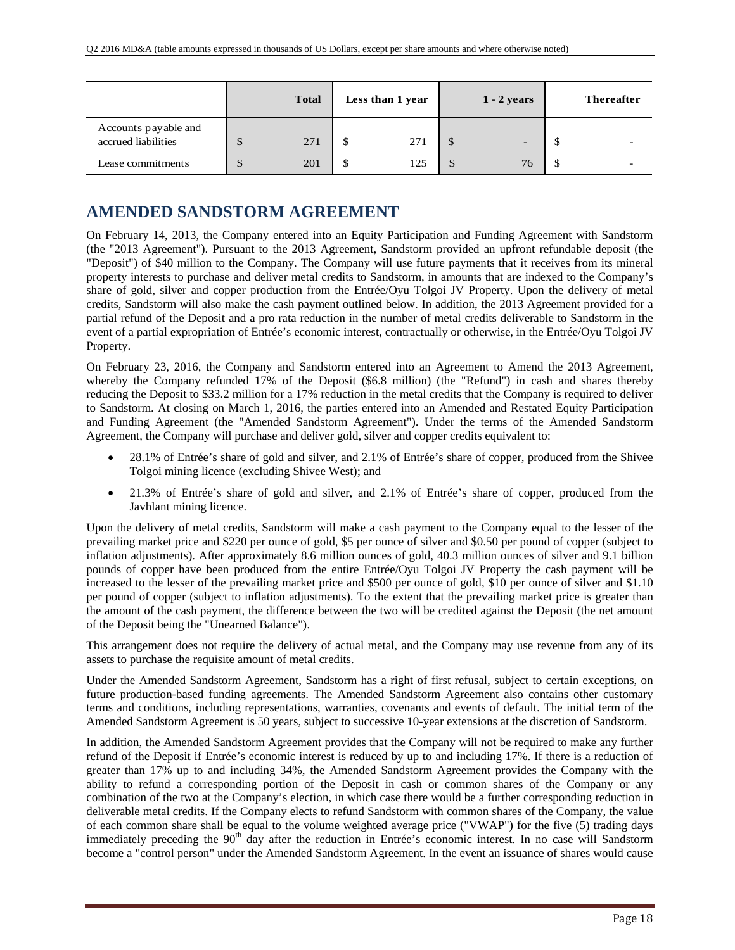|                                             | <b>Total</b> | Less than 1 year |              | $1 - 2$ years | <b>Thereafter</b> |
|---------------------------------------------|--------------|------------------|--------------|---------------|-------------------|
| Accounts payable and<br>accrued liabilities | \$<br>271    | \$<br>271        |              | -             |                   |
| Lease commitments                           | \$<br>201    | \$<br>125        | $\mathbb{S}$ | 76            |                   |

## **AMENDED SANDSTORM AGREEMENT**

On February 14, 2013, the Company entered into an Equity Participation and Funding Agreement with Sandstorm (the "2013 Agreement"). Pursuant to the 2013 Agreement, Sandstorm provided an upfront refundable deposit (the "Deposit") of \$40 million to the Company. The Company will use future payments that it receives from its mineral property interests to purchase and deliver metal credits to Sandstorm, in amounts that are indexed to the Company's share of gold, silver and copper production from the Entrée/Oyu Tolgoi JV Property. Upon the delivery of metal credits, Sandstorm will also make the cash payment outlined below. In addition, the 2013 Agreement provided for a partial refund of the Deposit and a pro rata reduction in the number of metal credits deliverable to Sandstorm in the event of a partial expropriation of Entrée's economic interest, contractually or otherwise, in the Entrée/Oyu Tolgoi JV Property.

On February 23, 2016, the Company and Sandstorm entered into an Agreement to Amend the 2013 Agreement, whereby the Company refunded 17% of the Deposit (\$6.8 million) (the "Refund") in cash and shares thereby reducing the Deposit to \$33.2 million for a 17% reduction in the metal credits that the Company is required to deliver to Sandstorm. At closing on March 1, 2016, the parties entered into an Amended and Restated Equity Participation and Funding Agreement (the "Amended Sandstorm Agreement"). Under the terms of the Amended Sandstorm Agreement, the Company will purchase and deliver gold, silver and copper credits equivalent to:

- 28.1% of Entrée's share of gold and silver, and 2.1% of Entrée's share of copper, produced from the Shivee Tolgoi mining licence (excluding Shivee West); and
- 21.3% of Entrée's share of gold and silver, and 2.1% of Entrée's share of copper, produced from the Javhlant mining licence.

Upon the delivery of metal credits, Sandstorm will make a cash payment to the Company equal to the lesser of the prevailing market price and \$220 per ounce of gold, \$5 per ounce of silver and \$0.50 per pound of copper (subject to inflation adjustments). After approximately 8.6 million ounces of gold, 40.3 million ounces of silver and 9.1 billion pounds of copper have been produced from the entire Entrée/Oyu Tolgoi JV Property the cash payment will be increased to the lesser of the prevailing market price and \$500 per ounce of gold, \$10 per ounce of silver and \$1.10 per pound of copper (subject to inflation adjustments). To the extent that the prevailing market price is greater than the amount of the cash payment, the difference between the two will be credited against the Deposit (the net amount of the Deposit being the "Unearned Balance").

This arrangement does not require the delivery of actual metal, and the Company may use revenue from any of its assets to purchase the requisite amount of metal credits.

Under the Amended Sandstorm Agreement, Sandstorm has a right of first refusal, subject to certain exceptions, on future production-based funding agreements. The Amended Sandstorm Agreement also contains other customary terms and conditions, including representations, warranties, covenants and events of default. The initial term of the Amended Sandstorm Agreement is 50 years, subject to successive 10-year extensions at the discretion of Sandstorm.

In addition, the Amended Sandstorm Agreement provides that the Company will not be required to make any further refund of the Deposit if Entrée's economic interest is reduced by up to and including 17%. If there is a reduction of greater than 17% up to and including 34%, the Amended Sandstorm Agreement provides the Company with the ability to refund a corresponding portion of the Deposit in cash or common shares of the Company or any combination of the two at the Company's election, in which case there would be a further corresponding reduction in deliverable metal credits. If the Company elects to refund Sandstorm with common shares of the Company, the value of each common share shall be equal to the volume weighted average price ("VWAP") for the five (5) trading days immediately preceding the 90<sup>th</sup> day after the reduction in Entrée's economic interest. In no case will Sandstorm become a "control person" under the Amended Sandstorm Agreement. In the event an issuance of shares would cause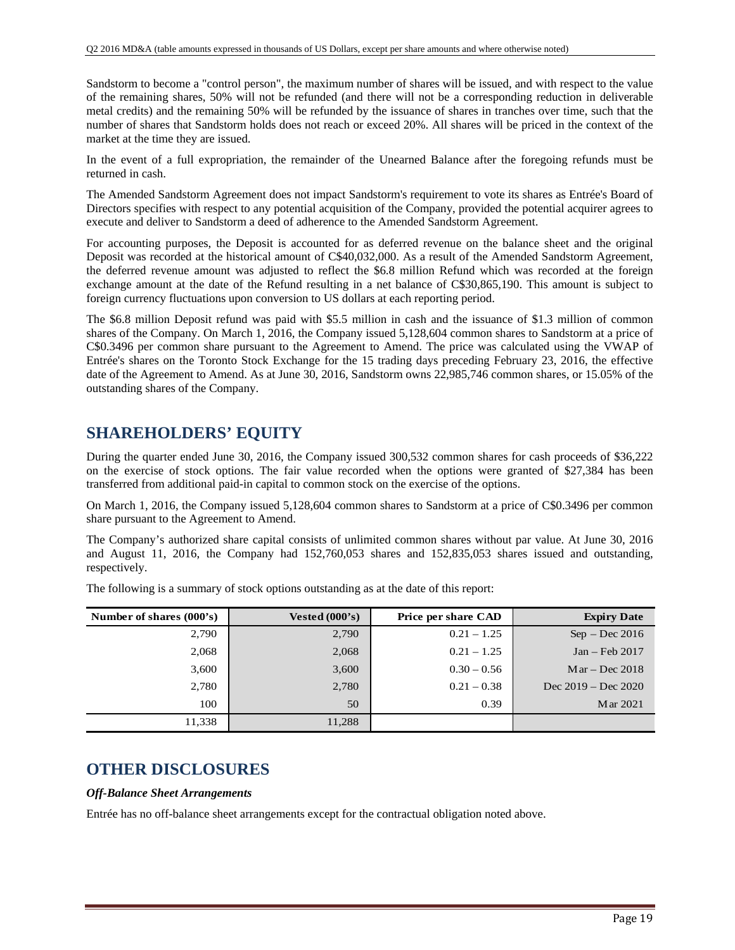Sandstorm to become a "control person", the maximum number of shares will be issued, and with respect to the value of the remaining shares, 50% will not be refunded (and there will not be a corresponding reduction in deliverable metal credits) and the remaining 50% will be refunded by the issuance of shares in tranches over time, such that the number of shares that Sandstorm holds does not reach or exceed 20%. All shares will be priced in the context of the market at the time they are issued.

In the event of a full expropriation, the remainder of the Unearned Balance after the foregoing refunds must be returned in cash.

The Amended Sandstorm Agreement does not impact Sandstorm's requirement to vote its shares as Entrée's Board of Directors specifies with respect to any potential acquisition of the Company, provided the potential acquirer agrees to execute and deliver to Sandstorm a deed of adherence to the Amended Sandstorm Agreement.

For accounting purposes, the Deposit is accounted for as deferred revenue on the balance sheet and the original Deposit was recorded at the historical amount of C\$40,032,000. As a result of the Amended Sandstorm Agreement, the deferred revenue amount was adjusted to reflect the \$6.8 million Refund which was recorded at the foreign exchange amount at the date of the Refund resulting in a net balance of C\$30,865,190. This amount is subject to foreign currency fluctuations upon conversion to US dollars at each reporting period.

The \$6.8 million Deposit refund was paid with \$5.5 million in cash and the issuance of \$1.3 million of common shares of the Company. On March 1, 2016, the Company issued 5,128,604 common shares to Sandstorm at a price of C\$0.3496 per common share pursuant to the Agreement to Amend. The price was calculated using the VWAP of Entrée's shares on the Toronto Stock Exchange for the 15 trading days preceding February 23, 2016, the effective date of the Agreement to Amend. As at June 30, 2016, Sandstorm owns 22,985,746 common shares, or 15.05% of the outstanding shares of the Company.

### **SHAREHOLDERS' EQUITY**

During the quarter ended June 30, 2016, the Company issued 300,532 common shares for cash proceeds of \$36,222 on the exercise of stock options. The fair value recorded when the options were granted of \$27,384 has been transferred from additional paid-in capital to common stock on the exercise of the options.

On March 1, 2016, the Company issued 5,128,604 common shares to Sandstorm at a price of C\$0.3496 per common share pursuant to the Agreement to Amend.

The Company's authorized share capital consists of unlimited common shares without par value. At June 30, 2016 and August 11, 2016, the Company had 152,760,053 shares and 152,835,053 shares issued and outstanding, respectively.

| Number of shares (000's) | Vested $(000's)$ | Price per share CAD | <b>Expiry Date</b>    |
|--------------------------|------------------|---------------------|-----------------------|
| 2,790                    | 2,790            | $0.21 - 1.25$       | $Sep - Dec 2016$      |
| 2,068                    | 2,068            | $0.21 - 1.25$       | $Jan - Feb 2017$      |
| 3,600                    | 3,600            | $0.30 - 0.56$       | $Mar - Dec 2018$      |
| 2,780                    | 2,780            | $0.21 - 0.38$       | Dec $2019 - Dec 2020$ |
| 100                      | 50               | 0.39                | M ar 2021             |
| 11,338                   | 11,288           |                     |                       |

The following is a summary of stock options outstanding as at the date of this report:

## **OTHER DISCLOSURES**

#### *Off-Balance Sheet Arrangements*

Entrée has no off-balance sheet arrangements except for the contractual obligation noted above.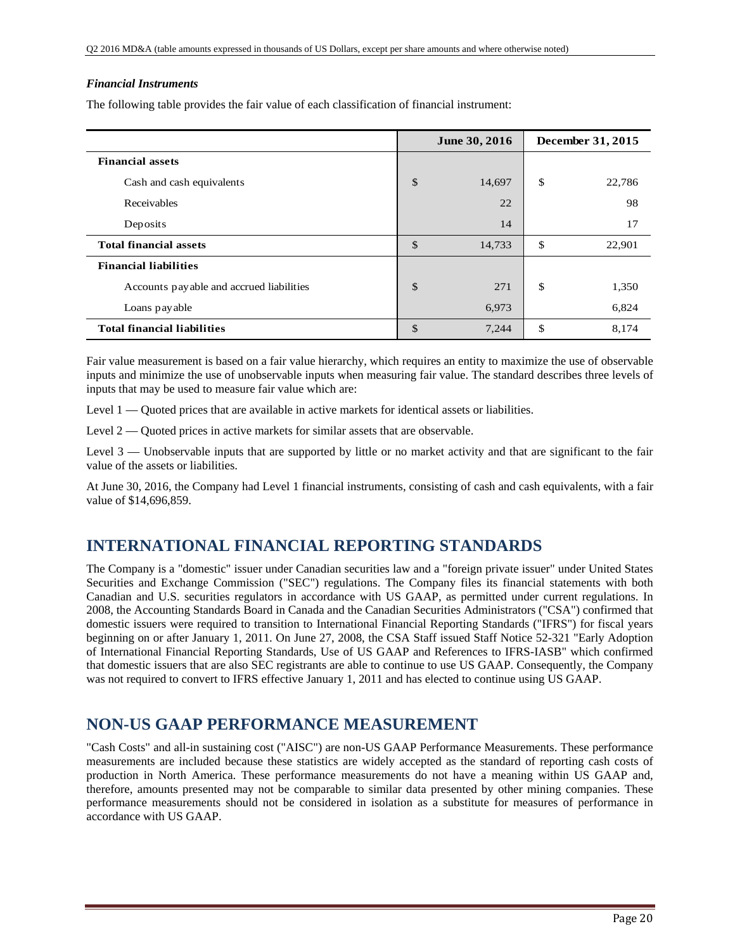#### *Financial Instruments*

The following table provides the fair value of each classification of financial instrument:

|                                          | June 30, 2016 | December 31, 2015 |
|------------------------------------------|---------------|-------------------|
| <b>Financial assets</b>                  |               |                   |
| Cash and cash equivalents                | \$<br>14,697  | \$<br>22,786      |
| Receivables                              | 22            | 98                |
| Deposits                                 | 14            | 17                |
| <b>Total financial assets</b>            | \$<br>14,733  | \$<br>22,901      |
| <b>Financial liabilities</b>             |               |                   |
| Accounts payable and accrued liabilities | \$<br>271     | \$<br>1,350       |
| Loans payable                            | 6,973         | 6,824             |
| <b>Total financial liabilities</b>       | \$<br>7,244   | \$<br>8,174       |

Fair value measurement is based on a fair value hierarchy, which requires an entity to maximize the use of observable inputs and minimize the use of unobservable inputs when measuring fair value. The standard describes three levels of inputs that may be used to measure fair value which are:

Level 1 — Quoted prices that are available in active markets for identical assets or liabilities.

Level 2 — Quoted prices in active markets for similar assets that are observable.

Level 3 — Unobservable inputs that are supported by little or no market activity and that are significant to the fair value of the assets or liabilities.

At June 30, 2016, the Company had Level 1 financial instruments, consisting of cash and cash equivalents, with a fair value of \$14,696,859.

## **INTERNATIONAL FINANCIAL REPORTING STANDARDS**

The Company is a "domestic" issuer under Canadian securities law and a "foreign private issuer" under United States Securities and Exchange Commission ("SEC") regulations. The Company files its financial statements with both Canadian and U.S. securities regulators in accordance with US GAAP, as permitted under current regulations. In 2008, the Accounting Standards Board in Canada and the Canadian Securities Administrators ("CSA") confirmed that domestic issuers were required to transition to International Financial Reporting Standards ("IFRS") for fiscal years beginning on or after January 1, 2011. On June 27, 2008, the CSA Staff issued Staff Notice 52-321 "Early Adoption of International Financial Reporting Standards, Use of US GAAP and References to IFRS-IASB" which confirmed that domestic issuers that are also SEC registrants are able to continue to use US GAAP. Consequently, the Company was not required to convert to IFRS effective January 1, 2011 and has elected to continue using US GAAP.

## **NON-US GAAP PERFORMANCE MEASUREMENT**

"Cash Costs" and all-in sustaining cost ("AISC") are non-US GAAP Performance Measurements. These performance measurements are included because these statistics are widely accepted as the standard of reporting cash costs of production in North America. These performance measurements do not have a meaning within US GAAP and, therefore, amounts presented may not be comparable to similar data presented by other mining companies. These performance measurements should not be considered in isolation as a substitute for measures of performance in accordance with US GAAP.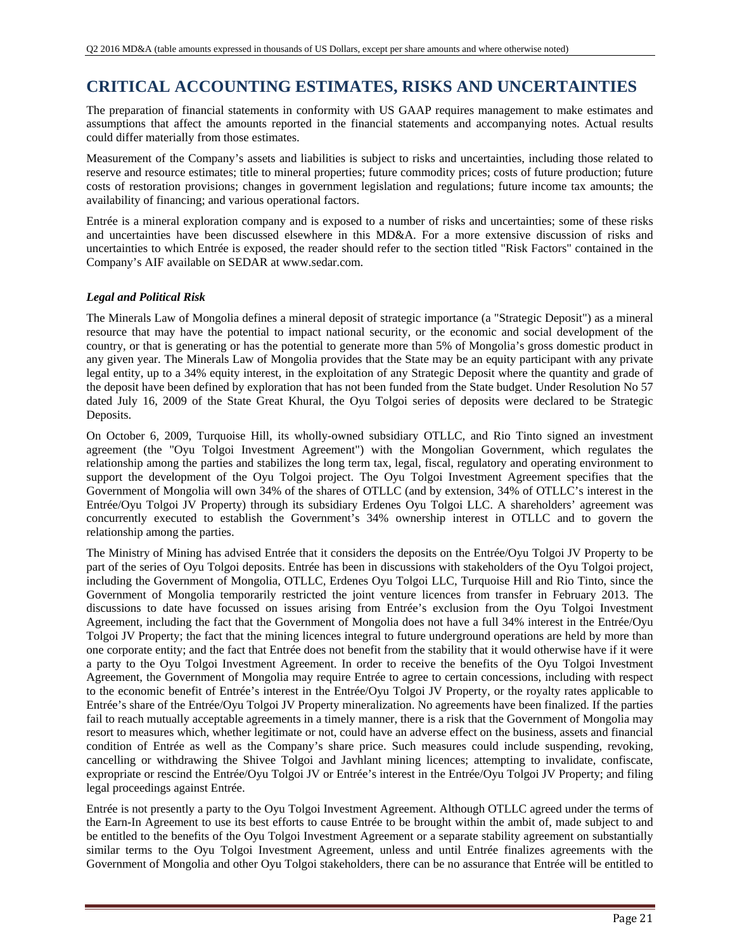# **CRITICAL ACCOUNTING ESTIMATES, RISKS AND UNCERTAINTIES**

The preparation of financial statements in conformity with US GAAP requires management to make estimates and assumptions that affect the amounts reported in the financial statements and accompanying notes. Actual results could differ materially from those estimates.

Measurement of the Company's assets and liabilities is subject to risks and uncertainties, including those related to reserve and resource estimates; title to mineral properties; future commodity prices; costs of future production; future costs of restoration provisions; changes in government legislation and regulations; future income tax amounts; the availability of financing; and various operational factors.

Entrée is a mineral exploration company and is exposed to a number of risks and uncertainties; some of these risks and uncertainties have been discussed elsewhere in this MD&A. For a more extensive discussion of risks and uncertainties to which Entrée is exposed, the reader should refer to the section titled "Risk Factors" contained in the Company's AIF available on SEDAR at www.sedar.com.

### *Legal and Political Risk*

The Minerals Law of Mongolia defines a mineral deposit of strategic importance (a "Strategic Deposit") as a mineral resource that may have the potential to impact national security, or the economic and social development of the country, or that is generating or has the potential to generate more than 5% of Mongolia's gross domestic product in any given year. The Minerals Law of Mongolia provides that the State may be an equity participant with any private legal entity, up to a 34% equity interest, in the exploitation of any Strategic Deposit where the quantity and grade of the deposit have been defined by exploration that has not been funded from the State budget. Under Resolution No 57 dated July 16, 2009 of the State Great Khural, the Oyu Tolgoi series of deposits were declared to be Strategic Deposits.

On October 6, 2009, Turquoise Hill, its wholly-owned subsidiary OTLLC, and Rio Tinto signed an investment agreement (the "Oyu Tolgoi Investment Agreement") with the Mongolian Government, which regulates the relationship among the parties and stabilizes the long term tax, legal, fiscal, regulatory and operating environment to support the development of the Oyu Tolgoi project. The Oyu Tolgoi Investment Agreement specifies that the Government of Mongolia will own 34% of the shares of OTLLC (and by extension, 34% of OTLLC's interest in the Entrée/Oyu Tolgoi JV Property) through its subsidiary Erdenes Oyu Tolgoi LLC. A shareholders' agreement was concurrently executed to establish the Government's 34% ownership interest in OTLLC and to govern the relationship among the parties.

The Ministry of Mining has advised Entrée that it considers the deposits on the Entrée/Oyu Tolgoi JV Property to be part of the series of Oyu Tolgoi deposits. Entrée has been in discussions with stakeholders of the Oyu Tolgoi project, including the Government of Mongolia, OTLLC, Erdenes Oyu Tolgoi LLC, Turquoise Hill and Rio Tinto, since the Government of Mongolia temporarily restricted the joint venture licences from transfer in February 2013. The discussions to date have focussed on issues arising from Entrée's exclusion from the Oyu Tolgoi Investment Agreement, including the fact that the Government of Mongolia does not have a full 34% interest in the Entrée/Oyu Tolgoi JV Property; the fact that the mining licences integral to future underground operations are held by more than one corporate entity; and the fact that Entrée does not benefit from the stability that it would otherwise have if it were a party to the Oyu Tolgoi Investment Agreement. In order to receive the benefits of the Oyu Tolgoi Investment Agreement, the Government of Mongolia may require Entrée to agree to certain concessions, including with respect to the economic benefit of Entrée's interest in the Entrée/Oyu Tolgoi JV Property, or the royalty rates applicable to Entrée's share of the Entrée/Oyu Tolgoi JV Property mineralization. No agreements have been finalized. If the parties fail to reach mutually acceptable agreements in a timely manner, there is a risk that the Government of Mongolia may resort to measures which, whether legitimate or not, could have an adverse effect on the business, assets and financial condition of Entrée as well as the Company's share price. Such measures could include suspending, revoking, cancelling or withdrawing the Shivee Tolgoi and Javhlant mining licences; attempting to invalidate, confiscate, expropriate or rescind the Entrée/Oyu Tolgoi JV or Entrée's interest in the Entrée/Oyu Tolgoi JV Property; and filing legal proceedings against Entrée.

Entrée is not presently a party to the Oyu Tolgoi Investment Agreement. Although OTLLC agreed under the terms of the Earn-In Agreement to use its best efforts to cause Entrée to be brought within the ambit of, made subject to and be entitled to the benefits of the Oyu Tolgoi Investment Agreement or a separate stability agreement on substantially similar terms to the Oyu Tolgoi Investment Agreement, unless and until Entrée finalizes agreements with the Government of Mongolia and other Oyu Tolgoi stakeholders, there can be no assurance that Entrée will be entitled to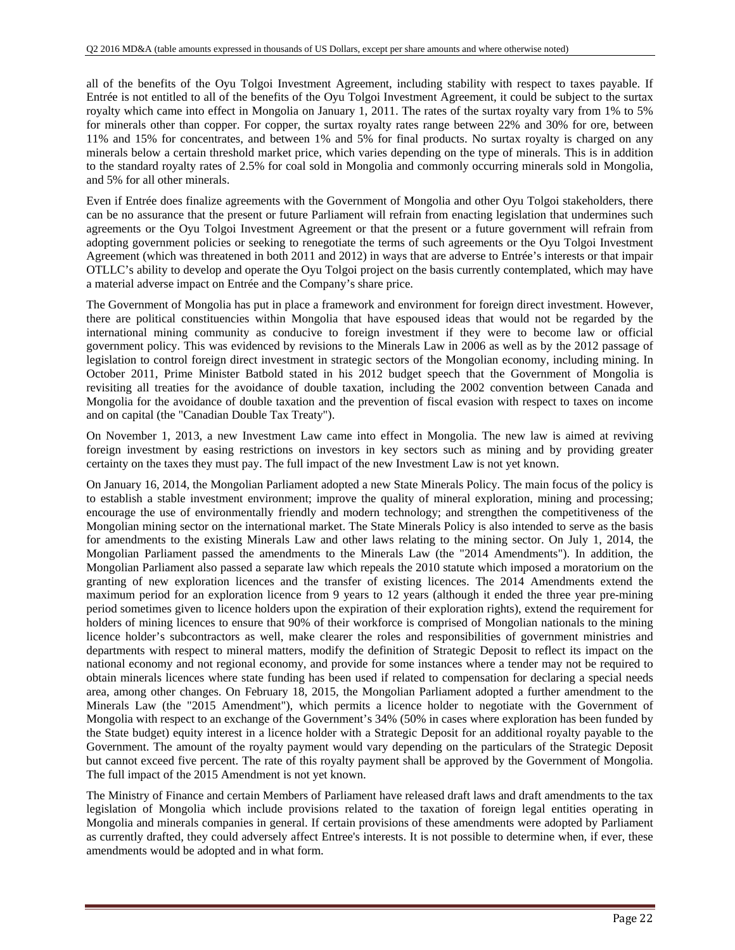all of the benefits of the Oyu Tolgoi Investment Agreement, including stability with respect to taxes payable. If Entrée is not entitled to all of the benefits of the Oyu Tolgoi Investment Agreement, it could be subject to the surtax royalty which came into effect in Mongolia on January 1, 2011. The rates of the surtax royalty vary from 1% to 5% for minerals other than copper. For copper, the surtax royalty rates range between 22% and 30% for ore, between 11% and 15% for concentrates, and between 1% and 5% for final products. No surtax royalty is charged on any minerals below a certain threshold market price, which varies depending on the type of minerals. This is in addition to the standard royalty rates of 2.5% for coal sold in Mongolia and commonly occurring minerals sold in Mongolia, and 5% for all other minerals.

Even if Entrée does finalize agreements with the Government of Mongolia and other Oyu Tolgoi stakeholders, there can be no assurance that the present or future Parliament will refrain from enacting legislation that undermines such agreements or the Oyu Tolgoi Investment Agreement or that the present or a future government will refrain from adopting government policies or seeking to renegotiate the terms of such agreements or the Oyu Tolgoi Investment Agreement (which was threatened in both 2011 and 2012) in ways that are adverse to Entrée's interests or that impair OTLLC's ability to develop and operate the Oyu Tolgoi project on the basis currently contemplated, which may have a material adverse impact on Entrée and the Company's share price.

The Government of Mongolia has put in place a framework and environment for foreign direct investment. However, there are political constituencies within Mongolia that have espoused ideas that would not be regarded by the international mining community as conducive to foreign investment if they were to become law or official government policy. This was evidenced by revisions to the Minerals Law in 2006 as well as by the 2012 passage of legislation to control foreign direct investment in strategic sectors of the Mongolian economy, including mining. In October 2011, Prime Minister Batbold stated in his 2012 budget speech that the Government of Mongolia is revisiting all treaties for the avoidance of double taxation, including the 2002 convention between Canada and Mongolia for the avoidance of double taxation and the prevention of fiscal evasion with respect to taxes on income and on capital (the "Canadian Double Tax Treaty").

On November 1, 2013, a new Investment Law came into effect in Mongolia. The new law is aimed at reviving foreign investment by easing restrictions on investors in key sectors such as mining and by providing greater certainty on the taxes they must pay. The full impact of the new Investment Law is not yet known.

On January 16, 2014, the Mongolian Parliament adopted a new State Minerals Policy. The main focus of the policy is to establish a stable investment environment; improve the quality of mineral exploration, mining and processing; encourage the use of environmentally friendly and modern technology; and strengthen the competitiveness of the Mongolian mining sector on the international market. The State Minerals Policy is also intended to serve as the basis for amendments to the existing Minerals Law and other laws relating to the mining sector. On July 1, 2014, the Mongolian Parliament passed the amendments to the Minerals Law (the "2014 Amendments"). In addition, the Mongolian Parliament also passed a separate law which repeals the 2010 statute which imposed a moratorium on the granting of new exploration licences and the transfer of existing licences. The 2014 Amendments extend the maximum period for an exploration licence from 9 years to 12 years (although it ended the three year pre-mining period sometimes given to licence holders upon the expiration of their exploration rights), extend the requirement for holders of mining licences to ensure that 90% of their workforce is comprised of Mongolian nationals to the mining licence holder's subcontractors as well, make clearer the roles and responsibilities of government ministries and departments with respect to mineral matters, modify the definition of Strategic Deposit to reflect its impact on the national economy and not regional economy, and provide for some instances where a tender may not be required to obtain minerals licences where state funding has been used if related to compensation for declaring a special needs area, among other changes. On February 18, 2015, the Mongolian Parliament adopted a further amendment to the Minerals Law (the "2015 Amendment"), which permits a licence holder to negotiate with the Government of Mongolia with respect to an exchange of the Government's 34% (50% in cases where exploration has been funded by the State budget) equity interest in a licence holder with a Strategic Deposit for an additional royalty payable to the Government. The amount of the royalty payment would vary depending on the particulars of the Strategic Deposit but cannot exceed five percent. The rate of this royalty payment shall be approved by the Government of Mongolia. The full impact of the 2015 Amendment is not yet known.

The Ministry of Finance and certain Members of Parliament have released draft laws and draft amendments to the tax legislation of Mongolia which include provisions related to the taxation of foreign legal entities operating in Mongolia and minerals companies in general. If certain provisions of these amendments were adopted by Parliament as currently drafted, they could adversely affect Entree's interests. It is not possible to determine when, if ever, these amendments would be adopted and in what form.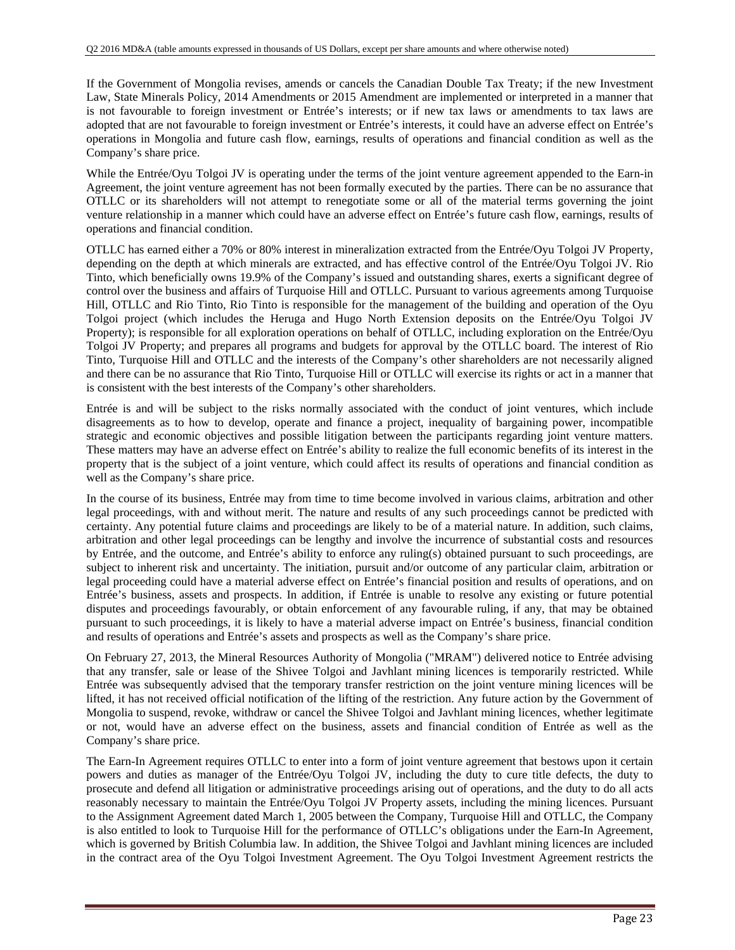If the Government of Mongolia revises, amends or cancels the Canadian Double Tax Treaty; if the new Investment Law, State Minerals Policy, 2014 Amendments or 2015 Amendment are implemented or interpreted in a manner that is not favourable to foreign investment or Entrée's interests; or if new tax laws or amendments to tax laws are adopted that are not favourable to foreign investment or Entrée's interests, it could have an adverse effect on Entrée's operations in Mongolia and future cash flow, earnings, results of operations and financial condition as well as the Company's share price.

While the Entrée/Oyu Tolgoi JV is operating under the terms of the joint venture agreement appended to the Earn-in Agreement, the joint venture agreement has not been formally executed by the parties. There can be no assurance that OTLLC or its shareholders will not attempt to renegotiate some or all of the material terms governing the joint venture relationship in a manner which could have an adverse effect on Entrée's future cash flow, earnings, results of operations and financial condition.

OTLLC has earned either a 70% or 80% interest in mineralization extracted from the Entrée/Oyu Tolgoi JV Property, depending on the depth at which minerals are extracted, and has effective control of the Entrée/Oyu Tolgoi JV. Rio Tinto, which beneficially owns 19.9% of the Company's issued and outstanding shares, exerts a significant degree of control over the business and affairs of Turquoise Hill and OTLLC. Pursuant to various agreements among Turquoise Hill, OTLLC and Rio Tinto, Rio Tinto is responsible for the management of the building and operation of the Oyu Tolgoi project (which includes the Heruga and Hugo North Extension deposits on the Entrée/Oyu Tolgoi JV Property); is responsible for all exploration operations on behalf of OTLLC, including exploration on the Entrée/Oyu Tolgoi JV Property; and prepares all programs and budgets for approval by the OTLLC board. The interest of Rio Tinto, Turquoise Hill and OTLLC and the interests of the Company's other shareholders are not necessarily aligned and there can be no assurance that Rio Tinto, Turquoise Hill or OTLLC will exercise its rights or act in a manner that is consistent with the best interests of the Company's other shareholders.

Entrée is and will be subject to the risks normally associated with the conduct of joint ventures, which include disagreements as to how to develop, operate and finance a project, inequality of bargaining power, incompatible strategic and economic objectives and possible litigation between the participants regarding joint venture matters. These matters may have an adverse effect on Entrée's ability to realize the full economic benefits of its interest in the property that is the subject of a joint venture, which could affect its results of operations and financial condition as well as the Company's share price.

In the course of its business, Entrée may from time to time become involved in various claims, arbitration and other legal proceedings, with and without merit. The nature and results of any such proceedings cannot be predicted with certainty. Any potential future claims and proceedings are likely to be of a material nature. In addition, such claims, arbitration and other legal proceedings can be lengthy and involve the incurrence of substantial costs and resources by Entrée, and the outcome, and Entrée's ability to enforce any ruling(s) obtained pursuant to such proceedings, are subject to inherent risk and uncertainty. The initiation, pursuit and/or outcome of any particular claim, arbitration or legal proceeding could have a material adverse effect on Entrée's financial position and results of operations, and on Entrée's business, assets and prospects. In addition, if Entrée is unable to resolve any existing or future potential disputes and proceedings favourably, or obtain enforcement of any favourable ruling, if any, that may be obtained pursuant to such proceedings, it is likely to have a material adverse impact on Entrée's business, financial condition and results of operations and Entrée's assets and prospects as well as the Company's share price.

On February 27, 2013, the Mineral Resources Authority of Mongolia ("MRAM") delivered notice to Entrée advising that any transfer, sale or lease of the Shivee Tolgoi and Javhlant mining licences is temporarily restricted. While Entrée was subsequently advised that the temporary transfer restriction on the joint venture mining licences will be lifted, it has not received official notification of the lifting of the restriction. Any future action by the Government of Mongolia to suspend, revoke, withdraw or cancel the Shivee Tolgoi and Javhlant mining licences, whether legitimate or not, would have an adverse effect on the business, assets and financial condition of Entrée as well as the Company's share price.

The Earn-In Agreement requires OTLLC to enter into a form of joint venture agreement that bestows upon it certain powers and duties as manager of the Entrée/Oyu Tolgoi JV, including the duty to cure title defects, the duty to prosecute and defend all litigation or administrative proceedings arising out of operations, and the duty to do all acts reasonably necessary to maintain the Entrée/Oyu Tolgoi JV Property assets, including the mining licences. Pursuant to the Assignment Agreement dated March 1, 2005 between the Company, Turquoise Hill and OTLLC, the Company is also entitled to look to Turquoise Hill for the performance of OTLLC's obligations under the Earn-In Agreement, which is governed by British Columbia law. In addition, the Shivee Tolgoi and Javhlant mining licences are included in the contract area of the Oyu Tolgoi Investment Agreement. The Oyu Tolgoi Investment Agreement restricts the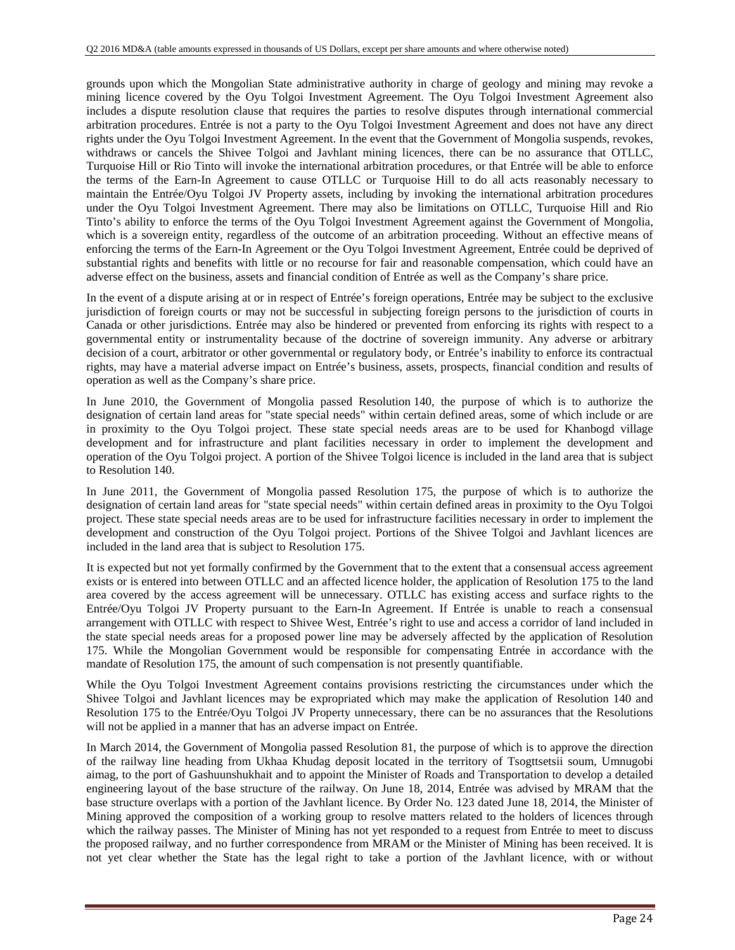grounds upon which the Mongolian State administrative authority in charge of geology and mining may revoke a mining licence covered by the Oyu Tolgoi Investment Agreement. The Oyu Tolgoi Investment Agreement also includes a dispute resolution clause that requires the parties to resolve disputes through international commercial arbitration procedures. Entrée is not a party to the Oyu Tolgoi Investment Agreement and does not have any direct rights under the Oyu Tolgoi Investment Agreement. In the event that the Government of Mongolia suspends, revokes, withdraws or cancels the Shivee Tolgoi and Javhlant mining licences, there can be no assurance that OTLLC, Turquoise Hill or Rio Tinto will invoke the international arbitration procedures, or that Entrée will be able to enforce the terms of the Earn-In Agreement to cause OTLLC or Turquoise Hill to do all acts reasonably necessary to maintain the Entrée/Oyu Tolgoi JV Property assets, including by invoking the international arbitration procedures under the Oyu Tolgoi Investment Agreement. There may also be limitations on OTLLC, Turquoise Hill and Rio Tinto's ability to enforce the terms of the Oyu Tolgoi Investment Agreement against the Government of Mongolia, which is a sovereign entity, regardless of the outcome of an arbitration proceeding. Without an effective means of enforcing the terms of the Earn-In Agreement or the Oyu Tolgoi Investment Agreement, Entrée could be deprived of substantial rights and benefits with little or no recourse for fair and reasonable compensation, which could have an adverse effect on the business, assets and financial condition of Entrée as well as the Company's share price.

In the event of a dispute arising at or in respect of Entrée's foreign operations, Entrée may be subject to the exclusive jurisdiction of foreign courts or may not be successful in subjecting foreign persons to the jurisdiction of courts in Canada or other jurisdictions. Entrée may also be hindered or prevented from enforcing its rights with respect to a governmental entity or instrumentality because of the doctrine of sovereign immunity. Any adverse or arbitrary decision of a court, arbitrator or other governmental or regulatory body, or Entrée's inability to enforce its contractual rights, may have a material adverse impact on Entrée's business, assets, prospects, financial condition and results of operation as well as the Company's share price.

In June 2010, the Government of Mongolia passed Resolution 140, the purpose of which is to authorize the designation of certain land areas for "state special needs" within certain defined areas, some of which include or are in proximity to the Oyu Tolgoi project. These state special needs areas are to be used for Khanbogd village development and for infrastructure and plant facilities necessary in order to implement the development and operation of the Oyu Tolgoi project. A portion of the Shivee Tolgoi licence is included in the land area that is subject to Resolution 140.

In June 2011, the Government of Mongolia passed Resolution 175, the purpose of which is to authorize the designation of certain land areas for "state special needs" within certain defined areas in proximity to the Oyu Tolgoi project. These state special needs areas are to be used for infrastructure facilities necessary in order to implement the development and construction of the Oyu Tolgoi project. Portions of the Shivee Tolgoi and Javhlant licences are included in the land area that is subject to Resolution 175.

It is expected but not yet formally confirmed by the Government that to the extent that a consensual access agreement exists or is entered into between OTLLC and an affected licence holder, the application of Resolution 175 to the land area covered by the access agreement will be unnecessary. OTLLC has existing access and surface rights to the Entrée/Oyu Tolgoi JV Property pursuant to the Earn-In Agreement. If Entrée is unable to reach a consensual arrangement with OTLLC with respect to Shivee West, Entrée's right to use and access a corridor of land included in the state special needs areas for a proposed power line may be adversely affected by the application of Resolution 175. While the Mongolian Government would be responsible for compensating Entrée in accordance with the mandate of Resolution 175, the amount of such compensation is not presently quantifiable.

While the Oyu Tolgoi Investment Agreement contains provisions restricting the circumstances under which the Shivee Tolgoi and Javhlant licences may be expropriated which may make the application of Resolution 140 and Resolution 175 to the Entrée/Oyu Tolgoi JV Property unnecessary, there can be no assurances that the Resolutions will not be applied in a manner that has an adverse impact on Entrée.

In March 2014, the Government of Mongolia passed Resolution 81, the purpose of which is to approve the direction of the railway line heading from Ukhaa Khudag deposit located in the territory of Tsogttsetsii soum, Umnugobi aimag, to the port of Gashuunshukhait and to appoint the Minister of Roads and Transportation to develop a detailed engineering layout of the base structure of the railway. On June 18, 2014, Entrée was advised by MRAM that the base structure overlaps with a portion of the Javhlant licence. By Order No. 123 dated June 18, 2014, the Minister of Mining approved the composition of a working group to resolve matters related to the holders of licences through which the railway passes. The Minister of Mining has not yet responded to a request from Entrée to meet to discuss the proposed railway, and no further correspondence from MRAM or the Minister of Mining has been received. It is not yet clear whether the State has the legal right to take a portion of the Javhlant licence, with or without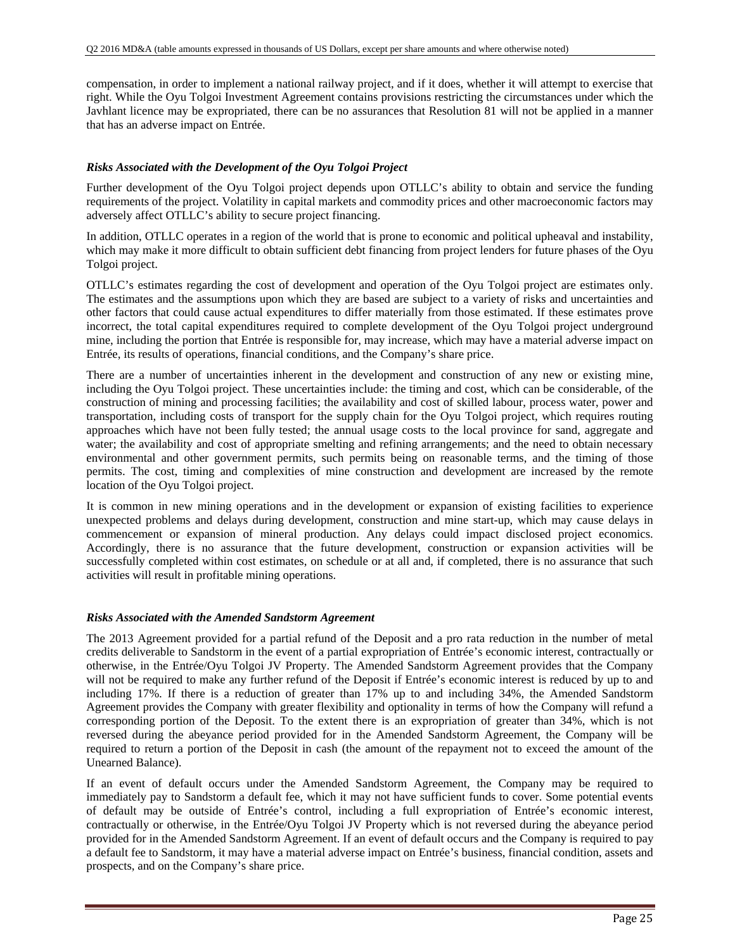compensation, in order to implement a national railway project, and if it does, whether it will attempt to exercise that right. While the Oyu Tolgoi Investment Agreement contains provisions restricting the circumstances under which the Javhlant licence may be expropriated, there can be no assurances that Resolution 81 will not be applied in a manner that has an adverse impact on Entrée.

#### *Risks Associated with the Development of the Oyu Tolgoi Project*

Further development of the Oyu Tolgoi project depends upon OTLLC's ability to obtain and service the funding requirements of the project. Volatility in capital markets and commodity prices and other macroeconomic factors may adversely affect OTLLC's ability to secure project financing.

In addition, OTLLC operates in a region of the world that is prone to economic and political upheaval and instability, which may make it more difficult to obtain sufficient debt financing from project lenders for future phases of the Oyu Tolgoi project.

OTLLC's estimates regarding the cost of development and operation of the Oyu Tolgoi project are estimates only. The estimates and the assumptions upon which they are based are subject to a variety of risks and uncertainties and other factors that could cause actual expenditures to differ materially from those estimated. If these estimates prove incorrect, the total capital expenditures required to complete development of the Oyu Tolgoi project underground mine, including the portion that Entrée is responsible for, may increase, which may have a material adverse impact on Entrée, its results of operations, financial conditions, and the Company's share price.

There are a number of uncertainties inherent in the development and construction of any new or existing mine, including the Oyu Tolgoi project. These uncertainties include: the timing and cost, which can be considerable, of the construction of mining and processing facilities; the availability and cost of skilled labour, process water, power and transportation, including costs of transport for the supply chain for the Oyu Tolgoi project, which requires routing approaches which have not been fully tested; the annual usage costs to the local province for sand, aggregate and water; the availability and cost of appropriate smelting and refining arrangements; and the need to obtain necessary environmental and other government permits, such permits being on reasonable terms, and the timing of those permits. The cost, timing and complexities of mine construction and development are increased by the remote location of the Oyu Tolgoi project.

It is common in new mining operations and in the development or expansion of existing facilities to experience unexpected problems and delays during development, construction and mine start-up, which may cause delays in commencement or expansion of mineral production. Any delays could impact disclosed project economics. Accordingly, there is no assurance that the future development, construction or expansion activities will be successfully completed within cost estimates, on schedule or at all and, if completed, there is no assurance that such activities will result in profitable mining operations.

#### *Risks Associated with the Amended Sandstorm Agreement*

The 2013 Agreement provided for a partial refund of the Deposit and a pro rata reduction in the number of metal credits deliverable to Sandstorm in the event of a partial expropriation of Entrée's economic interest, contractually or otherwise, in the Entrée/Oyu Tolgoi JV Property. The Amended Sandstorm Agreement provides that the Company will not be required to make any further refund of the Deposit if Entrée's economic interest is reduced by up to and including 17%. If there is a reduction of greater than 17% up to and including 34%, the Amended Sandstorm Agreement provides the Company with greater flexibility and optionality in terms of how the Company will refund a corresponding portion of the Deposit. To the extent there is an expropriation of greater than 34%, which is not reversed during the abeyance period provided for in the Amended Sandstorm Agreement, the Company will be required to return a portion of the Deposit in cash (the amount of the repayment not to exceed the amount of the Unearned Balance).

If an event of default occurs under the Amended Sandstorm Agreement, the Company may be required to immediately pay to Sandstorm a default fee, which it may not have sufficient funds to cover. Some potential events of default may be outside of Entrée's control, including a full expropriation of Entrée's economic interest, contractually or otherwise, in the Entrée/Oyu Tolgoi JV Property which is not reversed during the abeyance period provided for in the Amended Sandstorm Agreement. If an event of default occurs and the Company is required to pay a default fee to Sandstorm, it may have a material adverse impact on Entrée's business, financial condition, assets and prospects, and on the Company's share price.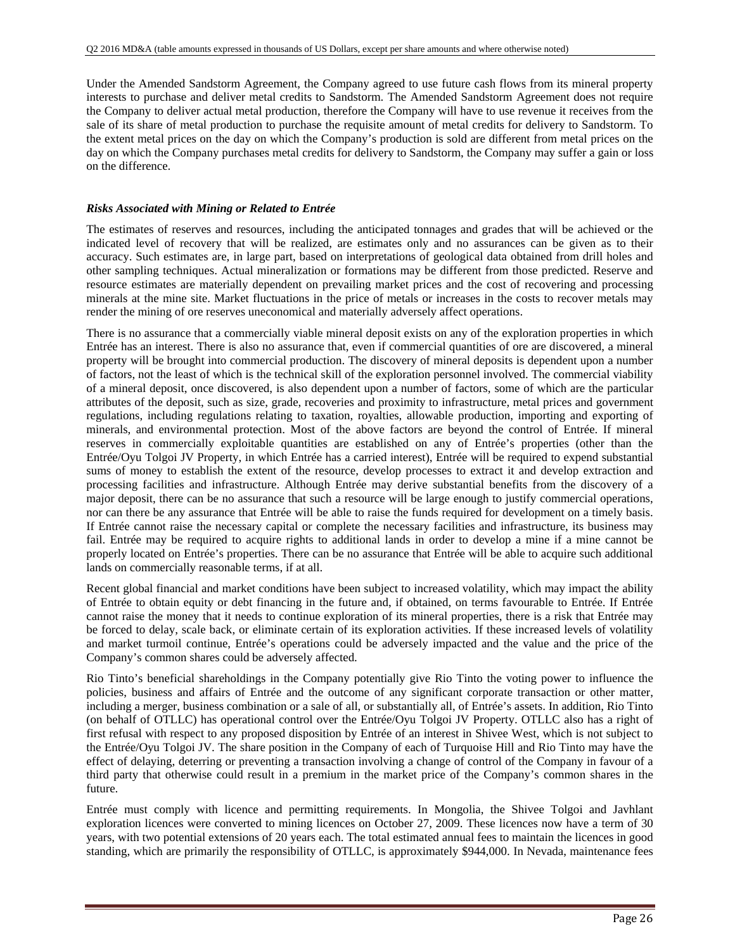Under the Amended Sandstorm Agreement, the Company agreed to use future cash flows from its mineral property interests to purchase and deliver metal credits to Sandstorm. The Amended Sandstorm Agreement does not require the Company to deliver actual metal production, therefore the Company will have to use revenue it receives from the sale of its share of metal production to purchase the requisite amount of metal credits for delivery to Sandstorm. To the extent metal prices on the day on which the Company's production is sold are different from metal prices on the day on which the Company purchases metal credits for delivery to Sandstorm, the Company may suffer a gain or loss on the difference.

#### *Risks Associated with Mining or Related to Entrée*

The estimates of reserves and resources, including the anticipated tonnages and grades that will be achieved or the indicated level of recovery that will be realized, are estimates only and no assurances can be given as to their accuracy. Such estimates are, in large part, based on interpretations of geological data obtained from drill holes and other sampling techniques. Actual mineralization or formations may be different from those predicted. Reserve and resource estimates are materially dependent on prevailing market prices and the cost of recovering and processing minerals at the mine site. Market fluctuations in the price of metals or increases in the costs to recover metals may render the mining of ore reserves uneconomical and materially adversely affect operations.

There is no assurance that a commercially viable mineral deposit exists on any of the exploration properties in which Entrée has an interest. There is also no assurance that, even if commercial quantities of ore are discovered, a mineral property will be brought into commercial production. The discovery of mineral deposits is dependent upon a number of factors, not the least of which is the technical skill of the exploration personnel involved. The commercial viability of a mineral deposit, once discovered, is also dependent upon a number of factors, some of which are the particular attributes of the deposit, such as size, grade, recoveries and proximity to infrastructure, metal prices and government regulations, including regulations relating to taxation, royalties, allowable production, importing and exporting of minerals, and environmental protection. Most of the above factors are beyond the control of Entrée. If mineral reserves in commercially exploitable quantities are established on any of Entrée's properties (other than the Entrée/Oyu Tolgoi JV Property, in which Entrée has a carried interest), Entrée will be required to expend substantial sums of money to establish the extent of the resource, develop processes to extract it and develop extraction and processing facilities and infrastructure. Although Entrée may derive substantial benefits from the discovery of a major deposit, there can be no assurance that such a resource will be large enough to justify commercial operations, nor can there be any assurance that Entrée will be able to raise the funds required for development on a timely basis. If Entrée cannot raise the necessary capital or complete the necessary facilities and infrastructure, its business may fail. Entrée may be required to acquire rights to additional lands in order to develop a mine if a mine cannot be properly located on Entrée's properties. There can be no assurance that Entrée will be able to acquire such additional lands on commercially reasonable terms, if at all.

Recent global financial and market conditions have been subject to increased volatility, which may impact the ability of Entrée to obtain equity or debt financing in the future and, if obtained, on terms favourable to Entrée. If Entrée cannot raise the money that it needs to continue exploration of its mineral properties, there is a risk that Entrée may be forced to delay, scale back, or eliminate certain of its exploration activities. If these increased levels of volatility and market turmoil continue, Entrée's operations could be adversely impacted and the value and the price of the Company's common shares could be adversely affected.

Rio Tinto's beneficial shareholdings in the Company potentially give Rio Tinto the voting power to influence the policies, business and affairs of Entrée and the outcome of any significant corporate transaction or other matter, including a merger, business combination or a sale of all, or substantially all, of Entrée's assets. In addition, Rio Tinto (on behalf of OTLLC) has operational control over the Entrée/Oyu Tolgoi JV Property. OTLLC also has a right of first refusal with respect to any proposed disposition by Entrée of an interest in Shivee West, which is not subject to the Entrée/Oyu Tolgoi JV. The share position in the Company of each of Turquoise Hill and Rio Tinto may have the effect of delaying, deterring or preventing a transaction involving a change of control of the Company in favour of a third party that otherwise could result in a premium in the market price of the Company's common shares in the future.

Entrée must comply with licence and permitting requirements. In Mongolia, the Shivee Tolgoi and Javhlant exploration licences were converted to mining licences on October 27, 2009. These licences now have a term of 30 years, with two potential extensions of 20 years each. The total estimated annual fees to maintain the licences in good standing, which are primarily the responsibility of OTLLC, is approximately \$944,000. In Nevada, maintenance fees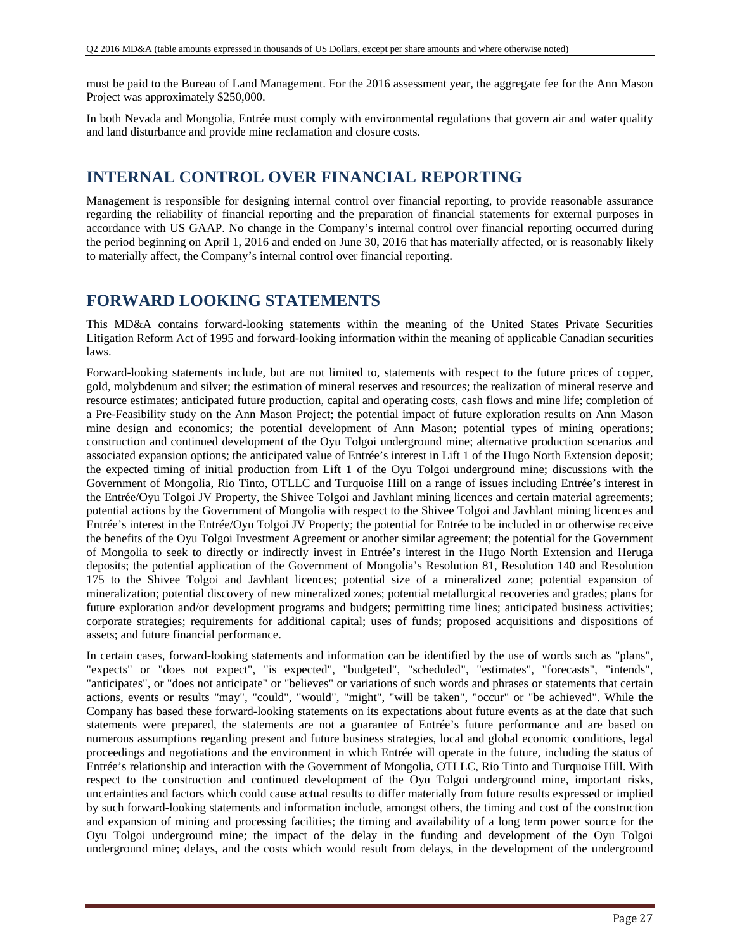must be paid to the Bureau of Land Management. For the 2016 assessment year, the aggregate fee for the Ann Mason Project was approximately \$250,000.

In both Nevada and Mongolia, Entrée must comply with environmental regulations that govern air and water quality and land disturbance and provide mine reclamation and closure costs.

## **INTERNAL CONTROL OVER FINANCIAL REPORTING**

Management is responsible for designing internal control over financial reporting, to provide reasonable assurance regarding the reliability of financial reporting and the preparation of financial statements for external purposes in accordance with US GAAP. No change in the Company's internal control over financial reporting occurred during the period beginning on April 1, 2016 and ended on June 30, 2016 that has materially affected, or is reasonably likely to materially affect, the Company's internal control over financial reporting.

## **FORWARD LOOKING STATEMENTS**

This MD&A contains forward-looking statements within the meaning of the United States Private Securities Litigation Reform Act of 1995 and forward-looking information within the meaning of applicable Canadian securities laws.

Forward-looking statements include, but are not limited to, statements with respect to the future prices of copper, gold, molybdenum and silver; the estimation of mineral reserves and resources; the realization of mineral reserve and resource estimates; anticipated future production, capital and operating costs, cash flows and mine life; completion of a Pre-Feasibility study on the Ann Mason Project; the potential impact of future exploration results on Ann Mason mine design and economics; the potential development of Ann Mason; potential types of mining operations; construction and continued development of the Oyu Tolgoi underground mine; alternative production scenarios and associated expansion options; the anticipated value of Entrée's interest in Lift 1 of the Hugo North Extension deposit; the expected timing of initial production from Lift 1 of the Oyu Tolgoi underground mine; discussions with the Government of Mongolia, Rio Tinto, OTLLC and Turquoise Hill on a range of issues including Entrée's interest in the Entrée/Oyu Tolgoi JV Property, the Shivee Tolgoi and Javhlant mining licences and certain material agreements; potential actions by the Government of Mongolia with respect to the Shivee Tolgoi and Javhlant mining licences and Entrée's interest in the Entrée/Oyu Tolgoi JV Property; the potential for Entrée to be included in or otherwise receive the benefits of the Oyu Tolgoi Investment Agreement or another similar agreement; the potential for the Government of Mongolia to seek to directly or indirectly invest in Entrée's interest in the Hugo North Extension and Heruga deposits; the potential application of the Government of Mongolia's Resolution 81, Resolution 140 and Resolution 175 to the Shivee Tolgoi and Javhlant licences; potential size of a mineralized zone; potential expansion of mineralization; potential discovery of new mineralized zones; potential metallurgical recoveries and grades; plans for future exploration and/or development programs and budgets; permitting time lines; anticipated business activities; corporate strategies; requirements for additional capital; uses of funds; proposed acquisitions and dispositions of assets; and future financial performance.

In certain cases, forward-looking statements and information can be identified by the use of words such as "plans", "expects" or "does not expect", "is expected", "budgeted", "scheduled", "estimates", "forecasts", "intends", "anticipates", or "does not anticipate" or "believes" or variations of such words and phrases or statements that certain actions, events or results "may", "could", "would", "might", "will be taken", "occur" or "be achieved". While the Company has based these forward-looking statements on its expectations about future events as at the date that such statements were prepared, the statements are not a guarantee of Entrée's future performance and are based on numerous assumptions regarding present and future business strategies, local and global economic conditions, legal proceedings and negotiations and the environment in which Entrée will operate in the future, including the status of Entrée's relationship and interaction with the Government of Mongolia, OTLLC, Rio Tinto and Turquoise Hill. With respect to the construction and continued development of the Oyu Tolgoi underground mine, important risks, uncertainties and factors which could cause actual results to differ materially from future results expressed or implied by such forward-looking statements and information include, amongst others, the timing and cost of the construction and expansion of mining and processing facilities; the timing and availability of a long term power source for the Oyu Tolgoi underground mine; the impact of the delay in the funding and development of the Oyu Tolgoi underground mine; delays, and the costs which would result from delays, in the development of the underground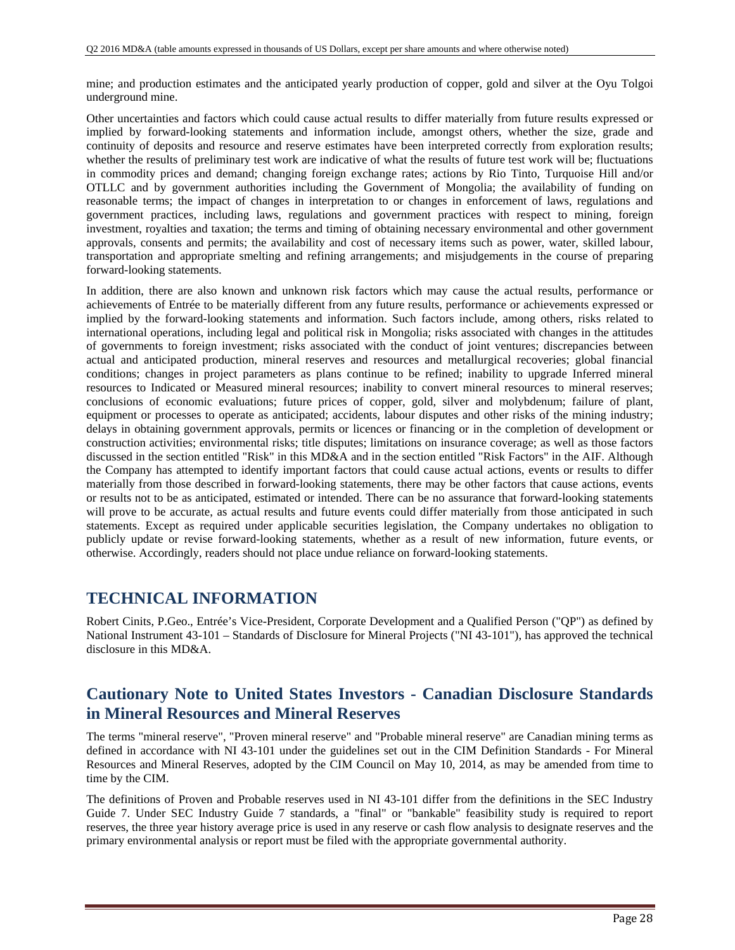mine; and production estimates and the anticipated yearly production of copper, gold and silver at the Oyu Tolgoi underground mine.

Other uncertainties and factors which could cause actual results to differ materially from future results expressed or implied by forward-looking statements and information include, amongst others, whether the size, grade and continuity of deposits and resource and reserve estimates have been interpreted correctly from exploration results; whether the results of preliminary test work are indicative of what the results of future test work will be; fluctuations in commodity prices and demand; changing foreign exchange rates; actions by Rio Tinto, Turquoise Hill and/or OTLLC and by government authorities including the Government of Mongolia; the availability of funding on reasonable terms; the impact of changes in interpretation to or changes in enforcement of laws, regulations and government practices, including laws, regulations and government practices with respect to mining, foreign investment, royalties and taxation; the terms and timing of obtaining necessary environmental and other government approvals, consents and permits; the availability and cost of necessary items such as power, water, skilled labour, transportation and appropriate smelting and refining arrangements; and misjudgements in the course of preparing forward-looking statements.

In addition, there are also known and unknown risk factors which may cause the actual results, performance or achievements of Entrée to be materially different from any future results, performance or achievements expressed or implied by the forward-looking statements and information. Such factors include, among others, risks related to international operations, including legal and political risk in Mongolia; risks associated with changes in the attitudes of governments to foreign investment; risks associated with the conduct of joint ventures; discrepancies between actual and anticipated production, mineral reserves and resources and metallurgical recoveries; global financial conditions; changes in project parameters as plans continue to be refined; inability to upgrade Inferred mineral resources to Indicated or Measured mineral resources; inability to convert mineral resources to mineral reserves; conclusions of economic evaluations; future prices of copper, gold, silver and molybdenum; failure of plant, equipment or processes to operate as anticipated; accidents, labour disputes and other risks of the mining industry; delays in obtaining government approvals, permits or licences or financing or in the completion of development or construction activities; environmental risks; title disputes; limitations on insurance coverage; as well as those factors discussed in the section entitled "Risk" in this MD&A and in the section entitled "Risk Factors" in the AIF. Although the Company has attempted to identify important factors that could cause actual actions, events or results to differ materially from those described in forward-looking statements, there may be other factors that cause actions, events or results not to be as anticipated, estimated or intended. There can be no assurance that forward-looking statements will prove to be accurate, as actual results and future events could differ materially from those anticipated in such statements. Except as required under applicable securities legislation, the Company undertakes no obligation to publicly update or revise forward-looking statements, whether as a result of new information, future events, or otherwise. Accordingly, readers should not place undue reliance on forward-looking statements.

## **TECHNICAL INFORMATION**

Robert Cinits, P.Geo., Entrée's Vice-President, Corporate Development and a Qualified Person ("QP") as defined by National Instrument 43-101 – Standards of Disclosure for Mineral Projects ("NI 43-101"), has approved the technical disclosure in this MD&A.

### **Cautionary Note to United States Investors - Canadian Disclosure Standards in Mineral Resources and Mineral Reserves**

The terms "mineral reserve", "Proven mineral reserve" and "Probable mineral reserve" are Canadian mining terms as defined in accordance with NI 43-101 under the guidelines set out in the CIM Definition Standards - For Mineral Resources and Mineral Reserves, adopted by the CIM Council on May 10, 2014, as may be amended from time to time by the CIM.

The definitions of Proven and Probable reserves used in NI 43-101 differ from the definitions in the SEC Industry Guide 7. Under SEC Industry Guide 7 standards, a "final" or "bankable" feasibility study is required to report reserves, the three year history average price is used in any reserve or cash flow analysis to designate reserves and the primary environmental analysis or report must be filed with the appropriate governmental authority.